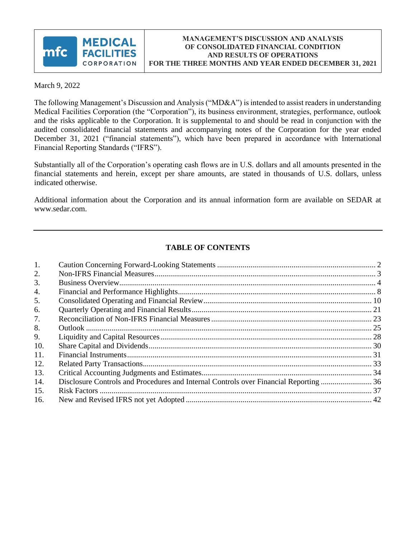

March 9, 2022

The following Management's Discussion and Analysis ("MD&A") is intended to assist readers in understanding Medical Facilities Corporation (the "Corporation"), its business environment, strategies, performance, outlook and the risks applicable to the Corporation. It is supplemental to and should be read in conjunction with the audited consolidated financial statements and accompanying notes of the Corporation for the year ended December 31, 2021 ("financial statements"), which have been prepared in accordance with International Financial Reporting Standards ("IFRS").

Substantially all of the Corporation's operating cash flows are in U.S. dollars and all amounts presented in the financial statements and herein, except per share amounts, are stated in thousands of U.S. dollars, unless indicated otherwise.

Additional information about the Corporation and its annual information form are available on SEDAR at www.sedar.com.

# **TABLE OF CONTENTS**

| 1.  |                                                                                       |  |
|-----|---------------------------------------------------------------------------------------|--|
| 2.  |                                                                                       |  |
| 3.  |                                                                                       |  |
| 4.  |                                                                                       |  |
| 5.  |                                                                                       |  |
| 6.  |                                                                                       |  |
| 7.  |                                                                                       |  |
| 8.  |                                                                                       |  |
| 9.  |                                                                                       |  |
| 10. |                                                                                       |  |
| 11. |                                                                                       |  |
| 12. |                                                                                       |  |
| 13. |                                                                                       |  |
| 14. | Disclosure Controls and Procedures and Internal Controls over Financial Reporting  36 |  |
| 15. |                                                                                       |  |
| 16. |                                                                                       |  |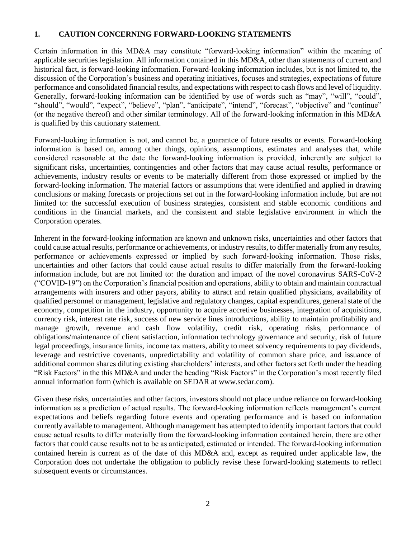#### <span id="page-1-0"></span>**1. CAUTION CONCERNING FORWARD-LOOKING STATEMENTS**

Certain information in this MD&A may constitute "forward‐looking information" within the meaning of applicable securities legislation. All information contained in this MD&A, other than statements of current and historical fact, is forward-looking information. Forward-looking information includes, but is not limited to, the discussion of the Corporation's business and operating initiatives, focuses and strategies, expectations of future performance and consolidated financial results, and expectations with respect to cash flows and level of liquidity. Generally, forward‐looking information can be identified by use of words such as "may", "will", "could", "should", "would", "expect", "believe", "plan", "anticipate", "intend", "forecast", "objective" and "continue" (or the negative thereof) and other similar terminology. All of the forward‐looking information in this MD&A is qualified by this cautionary statement.

Forward‐looking information is not, and cannot be, a guarantee of future results or events. Forward-looking information is based on, among other things, opinions, assumptions, estimates and analyses that, while considered reasonable at the date the forward‐looking information is provided, inherently are subject to significant risks, uncertainties, contingencies and other factors that may cause actual results, performance or achievements, industry results or events to be materially different from those expressed or implied by the forward-looking information. The material factors or assumptions that were identified and applied in drawing conclusions or making forecasts or projections set out in the forward-looking information include, but are not limited to: the successful execution of business strategies, consistent and stable economic conditions and conditions in the financial markets, and the consistent and stable legislative environment in which the Corporation operates.

Inherent in the forward‐looking information are known and unknown risks, uncertainties and other factors that could cause actual results, performance or achievements, or industry results, to differ materially from any results, performance or achievements expressed or implied by such forward‐looking information. Those risks, uncertainties and other factors that could cause actual results to differ materially from the forward‐looking information include, but are not limited to: the duration and impact of the novel coronavirus SARS-CoV-2 ("COVID-19") on the Corporation's financial position and operations, ability to obtain and maintain contractual arrangements with insurers and other payors, ability to attract and retain qualified physicians, availability of qualified personnel or management, legislative and regulatory changes, capital expenditures, general state of the economy, competition in the industry, opportunity to acquire accretive businesses, integration of acquisitions, currency risk, interest rate risk, success of new service lines introductions, ability to maintain profitability and manage growth, revenue and cash flow volatility, credit risk, operating risks, performance of obligations/maintenance of client satisfaction, information technology governance and security, risk of future legal proceedings, insurance limits, income tax matters, ability to meet solvency requirements to pay dividends, leverage and restrictive covenants, unpredictability and volatility of common share price, and issuance of additional common shares diluting existing shareholders' interests, and other factors set forth under the heading "Risk Factors" in the this MD&A and under the heading "Risk Factors" in the Corporation's most recently filed annual information form (which is available on SEDAR at www.sedar.com).

Given these risks, uncertainties and other factors, investors should not place undue reliance on forward-looking information as a prediction of actual results. The forward‐looking information reflects management's current expectations and beliefs regarding future events and operating performance and is based on information currently available to management. Although management has attempted to identify important factors that could cause actual results to differ materially from the forward‐looking information contained herein, there are other factors that could cause results not to be as anticipated, estimated or intended. The forward‐looking information contained herein is current as of the date of this MD&A and, except as required under applicable law, the Corporation does not undertake the obligation to publicly revise these forward-looking statements to reflect subsequent events or circumstances.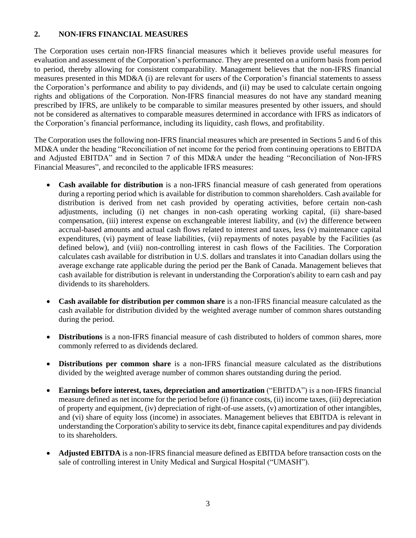## <span id="page-2-0"></span>**2. NON-IFRS FINANCIAL MEASURES**

The Corporation uses certain non-IFRS financial measures which it believes provide useful measures for evaluation and assessment of the Corporation's performance. They are presented on a uniform basis from period to period, thereby allowing for consistent comparability. Management believes that the non-IFRS financial measures presented in this MD&A (i) are relevant for users of the Corporation's financial statements to assess the Corporation's performance and ability to pay dividends, and (ii) may be used to calculate certain ongoing rights and obligations of the Corporation. Non-IFRS financial measures do not have any standard meaning prescribed by IFRS, are unlikely to be comparable to similar measures presented by other issuers, and should not be considered as alternatives to comparable measures determined in accordance with IFRS as indicators of the Corporation's financial performance, including its liquidity, cash flows, and profitability.

The Corporation uses the following non-IFRS financial measures which are presented in Sections 5 and 6 of this MD&A under the heading "Reconciliation of net income for the period from continuing operations to EBITDA and Adjusted EBITDA" and in Section 7 of this MD&A under the heading "Reconciliation of Non-IFRS Financial Measures", and reconciled to the applicable IFRS measures:

- **Cash available for distribution** is a non-IFRS financial measure of cash generated from operations during a reporting period which is available for distribution to common shareholders. Cash available for distribution is derived from net cash provided by operating activities, before certain non-cash adjustments, including (i) net changes in non-cash operating working capital, (ii) share-based compensation, (iii) interest expense on exchangeable interest liability, and (iv) the difference between accrual-based amounts and actual cash flows related to interest and taxes, less (v) maintenance capital expenditures, (vi) payment of lease liabilities, (vii) repayments of notes payable by the Facilities (as defined below), and (viii) non-controlling interest in cash flows of the Facilities. The Corporation calculates cash available for distribution in U.S. dollars and translates it into Canadian dollars using the average exchange rate applicable during the period per the Bank of Canada. Management believes that cash available for distribution is relevant in understanding the Corporation's ability to earn cash and pay dividends to its shareholders.
- **Cash available for distribution per common share** is a non-IFRS financial measure calculated as the cash available for distribution divided by the weighted average number of common shares outstanding during the period.
- **Distributions** is a non-IFRS financial measure of cash distributed to holders of common shares, more commonly referred to as dividends declared.
- **Distributions per common share** is a non-IFRS financial measure calculated as the distributions divided by the weighted average number of common shares outstanding during the period.
- **Earnings before interest, taxes, depreciation and amortization** ("EBITDA") is a non-IFRS financial measure defined as net income for the period before (i) finance costs, (ii) income taxes, (iii) depreciation of property and equipment, (iv) depreciation of right-of-use assets, (v) amortization of other intangibles, and (vi) share of equity loss (income) in associates. Management believes that EBITDA is relevant in understanding the Corporation's ability to service its debt, finance capital expenditures and pay dividends to its shareholders.
- **Adjusted EBITDA** is a non-IFRS financial measure defined as EBITDA before transaction costs on the sale of controlling interest in Unity Medical and Surgical Hospital ("UMASH").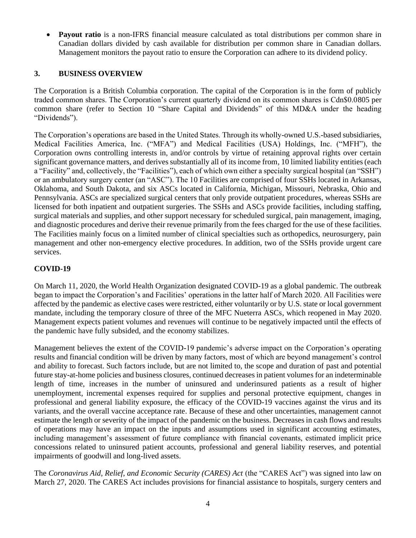• **Payout ratio** is a non-IFRS financial measure calculated as total distributions per common share in Canadian dollars divided by cash available for distribution per common share in Canadian dollars. Management monitors the payout ratio to ensure the Corporation can adhere to its dividend policy.

## <span id="page-3-0"></span>**3. BUSINESS OVERVIEW**

The Corporation is a British Columbia corporation. The capital of the Corporation is in the form of publicly traded common shares. The Corporation's current quarterly dividend on its common shares is Cdn\$0.0805 per common share (refer to Section 10 "Share Capital and Dividends" of this MD&A under the heading "Dividends").

The Corporation's operations are based in the United States. Through its wholly-owned U.S.-based subsidiaries, Medical Facilities America, Inc. ("MFA") and Medical Facilities (USA) Holdings, Inc. ("MFH"), the Corporation owns controlling interests in, and/or controls by virtue of retaining approval rights over certain significant governance matters, and derives substantially all of its income from, 10 limited liability entities (each a "Facility" and, collectively, the "Facilities"), each of which own either a specialty surgical hospital (an "SSH") or an ambulatory surgery center (an "ASC"). The 10 Facilities are comprised of four SSHs located in Arkansas, Oklahoma, and South Dakota, and six ASCs located in California, Michigan, Missouri, Nebraska, Ohio and Pennsylvania. ASCs are specialized surgical centers that only provide outpatient procedures, whereas SSHs are licensed for both inpatient and outpatient surgeries. The SSHs and ASCs provide facilities, including staffing, surgical materials and supplies, and other support necessary for scheduled surgical, pain management, imaging, and diagnostic procedures and derive their revenue primarily from the fees charged for the use of these facilities. The Facilities mainly focus on a limited number of clinical specialties such as orthopedics, neurosurgery, pain management and other non-emergency elective procedures. In addition, two of the SSHs provide urgent care services.

## **COVID-19**

On March 11, 2020, the World Health Organization designated COVID-19 as a global pandemic. The outbreak began to impact the Corporation's and Facilities' operations in the latter half of March 2020. All Facilities were affected by the pandemic as elective cases were restricted, either voluntarily or by U.S. state or local government mandate, including the temporary closure of three of the MFC Nueterra ASCs, which reopened in May 2020. Management expects patient volumes and revenues will continue to be negatively impacted until the effects of the pandemic have fully subsided, and the economy stabilizes.

Management believes the extent of the COVID-19 pandemic's adverse impact on the Corporation's operating results and financial condition will be driven by many factors, most of which are beyond management's control and ability to forecast. Such factors include, but are not limited to, the scope and duration of past and potential future stay-at-home policies and business closures, continued decreases in patient volumes for an indeterminable length of time, increases in the number of uninsured and underinsured patients as a result of higher unemployment, incremental expenses required for supplies and personal protective equipment, changes in professional and general liability exposure, the efficacy of the COVID-19 vaccines against the virus and its variants, and the overall vaccine acceptance rate. Because of these and other uncertainties, management cannot estimate the length or severity of the impact of the pandemic on the business. Decreases in cash flows and results of operations may have an impact on the inputs and assumptions used in significant accounting estimates, including management's assessment of future compliance with financial covenants, estimated implicit price concessions related to uninsured patient accounts, professional and general liability reserves, and potential impairments of goodwill and long-lived assets.

The *Coronavirus Aid, Relief, and Economic Security (CARES) Act* (the "CARES Act") was signed into law on March 27, 2020. The CARES Act includes provisions for financial assistance to hospitals, surgery centers and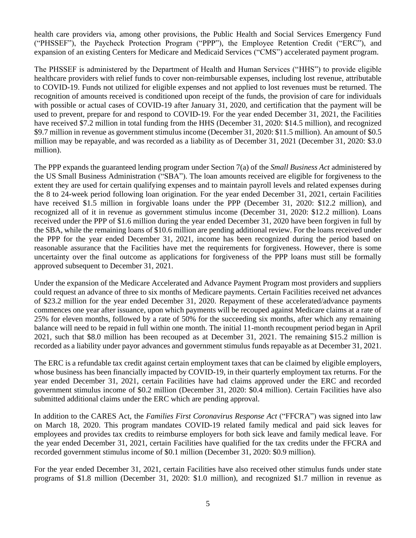health care providers via, among other provisions, the Public Health and Social Services Emergency Fund ("PHSSEF"), the Paycheck Protection Program ("PPP"), the Employee Retention Credit ("ERC"), and expansion of an existing Centers for Medicare and Medicaid Services ("CMS") accelerated payment program.

The PHSSEF is administered by the Department of Health and Human Services ("HHS") to provide eligible healthcare providers with relief funds to cover non-reimbursable expenses, including lost revenue, attributable to COVID-19. Funds not utilized for eligible expenses and not applied to lost revenues must be returned. The recognition of amounts received is conditioned upon receipt of the funds, the provision of care for individuals with possible or actual cases of COVID-19 after January 31, 2020, and certification that the payment will be used to prevent, prepare for and respond to COVID-19. For the year ended December 31, 2021, the Facilities have received \$7.2 million in total funding from the HHS (December 31, 2020: \$14.5 million), and recognized \$9.7 million in revenue as government stimulus income (December 31, 2020: \$11.5 million). An amount of \$0.5 million may be repayable, and was recorded as a liability as of December 31, 2021 (December 31, 2020: \$3.0 million).

The PPP expands the guaranteed lending program under Section 7(a) of the *Small Business Act* administered by the US Small Business Administration ("SBA"). The loan amounts received are eligible for forgiveness to the extent they are used for certain qualifying expenses and to maintain payroll levels and related expenses during the 8 to 24-week period following loan origination. For the year ended December 31, 2021, certain Facilities have received \$1.5 million in forgivable loans under the PPP (December 31, 2020: \$12.2 million), and recognized all of it in revenue as government stimulus income (December 31, 2020: \$12.2 million). Loans received under the PPP of \$1.6 million during the year ended December 31, 2020 have been forgiven in full by the SBA, while the remaining loans of \$10.6 million are pending additional review. For the loans received under the PPP for the year ended December 31, 2021, income has been recognized during the period based on reasonable assurance that the Facilities have met the requirements for forgiveness. However, there is some uncertainty over the final outcome as applications for forgiveness of the PPP loans must still be formally approved subsequent to December 31, 2021.

Under the expansion of the Medicare Accelerated and Advance Payment Program most providers and suppliers could request an advance of three to six months of Medicare payments. Certain Facilities received net advances of \$23.2 million for the year ended December 31, 2020. Repayment of these accelerated/advance payments commences one year after issuance, upon which payments will be recouped against Medicare claims at a rate of 25% for eleven months, followed by a rate of 50% for the succeeding six months, after which any remaining balance will need to be repaid in full within one month. The initial 11-month recoupment period began in April 2021, such that \$8.0 million has been recouped as at December 31, 2021. The remaining \$15.2 million is recorded as a liability under payor advances and government stimulus funds repayable as at December 31, 2021.

The ERC is a refundable tax credit against certain employment taxes that can be claimed by eligible employers, whose business has been financially impacted by COVID-19, in their quarterly employment tax returns. For the year ended December 31, 2021, certain Facilities have had claims approved under the ERC and recorded government stimulus income of \$0.2 million (December 31, 2020: \$0.4 million). Certain Facilities have also submitted additional claims under the ERC which are pending approval.

In addition to the CARES Act, the *Families First Coronavirus Response Act* ("FFCRA") was signed into law on March 18, 2020. This program mandates COVID-19 related family medical and paid sick leaves for employees and provides tax credits to reimburse employers for both sick leave and family medical leave. For the year ended December 31, 2021, certain Facilities have qualified for the tax credits under the FFCRA and recorded government stimulus income of \$0.1 million (December 31, 2020: \$0.9 million).

For the year ended December 31, 2021, certain Facilities have also received other stimulus funds under state programs of \$1.8 million (December 31, 2020: \$1.0 million), and recognized \$1.7 million in revenue as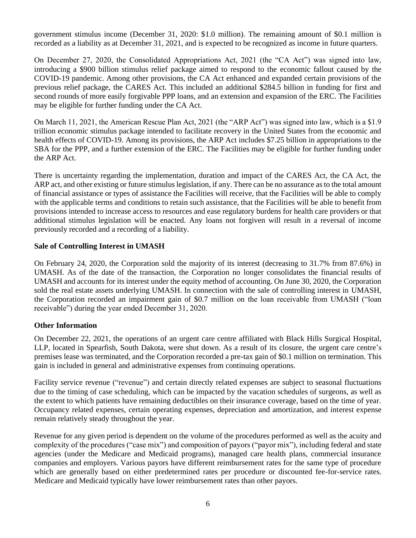government stimulus income (December 31, 2020: \$1.0 million). The remaining amount of \$0.1 million is recorded as a liability as at December 31, 2021, and is expected to be recognized as income in future quarters.

On December 27, 2020, the Consolidated Appropriations Act, 2021 (the "CA Act") was signed into law, introducing a \$900 billion stimulus relief package aimed to respond to the economic fallout caused by the COVID-19 pandemic. Among other provisions, the CA Act enhanced and expanded certain provisions of the previous relief package, the CARES Act. This included an additional \$284.5 billion in funding for first and second rounds of more easily forgivable PPP loans, and an extension and expansion of the ERC. The Facilities may be eligible for further funding under the CA Act.

On March 11, 2021, the American Rescue Plan Act, 2021 (the "ARP Act") was signed into law, which is a \$1.9 trillion economic stimulus package intended to facilitate recovery in the United States from the economic and health effects of COVID-19. Among its provisions, the ARP Act includes \$7.25 billion in appropriations to the SBA for the PPP, and a further extension of the ERC. The Facilities may be eligible for further funding under the ARP Act.

There is uncertainty regarding the implementation, duration and impact of the CARES Act, the CA Act, the ARP act, and other existing or future stimulus legislation, if any. There can be no assurance as to the total amount of financial assistance or types of assistance the Facilities will receive, that the Facilities will be able to comply with the applicable terms and conditions to retain such assistance, that the Facilities will be able to benefit from provisions intended to increase access to resources and ease regulatory burdens for health care providers or that additional stimulus legislation will be enacted. Any loans not forgiven will result in a reversal of income previously recorded and a recording of a liability.

## **Sale of Controlling Interest in UMASH**

On February 24, 2020, the Corporation sold the majority of its interest (decreasing to 31.7% from 87.6%) in UMASH. As of the date of the transaction, the Corporation no longer consolidates the financial results of UMASH and accounts for its interest under the equity method of accounting. On June 30, 2020, the Corporation sold the real estate assets underlying UMASH. In connection with the sale of controlling interest in UMASH, the Corporation recorded an impairment gain of \$0.7 million on the loan receivable from UMASH ("loan receivable") during the year ended December 31, 2020.

## **Other Information**

On December 22, 2021, the operations of an urgent care centre affiliated with Black Hills Surgical Hospital, LLP, located in Spearfish, South Dakota, were shut down. As a result of its closure, the urgent care centre's premises lease was terminated, and the Corporation recorded a pre-tax gain of \$0.1 million on termination. This gain is included in general and administrative expenses from continuing operations.

Facility service revenue ("revenue") and certain directly related expenses are subject to seasonal fluctuations due to the timing of case scheduling, which can be impacted by the vacation schedules of surgeons, as well as the extent to which patients have remaining deductibles on their insurance coverage, based on the time of year. Occupancy related expenses, certain operating expenses, depreciation and amortization, and interest expense remain relatively steady throughout the year.

Revenue for any given period is dependent on the volume of the procedures performed as well as the acuity and complexity of the procedures ("case mix") and composition of payors ("payor mix"), including federal and state agencies (under the Medicare and Medicaid programs), managed care health plans, commercial insurance companies and employers. Various payors have different reimbursement rates for the same type of procedure which are generally based on either predetermined rates per procedure or discounted fee-for-service rates. Medicare and Medicaid typically have lower reimbursement rates than other payors.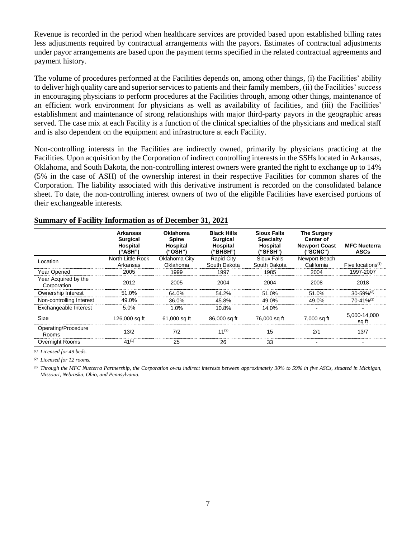Revenue is recorded in the period when healthcare services are provided based upon established billing rates less adjustments required by contractual arrangements with the payors. Estimates of contractual adjustments under payor arrangements are based upon the payment terms specified in the related contractual agreements and payment history.

The volume of procedures performed at the Facilities depends on, among other things, (i) the Facilities' ability to deliver high quality care and superior services to patients and their family members, (ii) the Facilities' success in encouraging physicians to perform procedures at the Facilities through, among other things, maintenance of an efficient work environment for physicians as well as availability of facilities, and (iii) the Facilities' establishment and maintenance of strong relationships with major third-party payors in the geographic areas served. The case mix at each Facility is a function of the clinical specialties of the physicians and medical staff and is also dependent on the equipment and infrastructure at each Facility.

Non-controlling interests in the Facilities are indirectly owned, primarily by physicians practicing at the Facilities. Upon acquisition by the Corporation of indirect controlling interests in the SSHs located in Arkansas, Oklahoma, and South Dakota, the non-controlling interest owners were granted the right to exchange up to 14% (5% in the case of ASH) of the ownership interest in their respective Facilities for common shares of the Corporation. The liability associated with this derivative instrument is recorded on the consolidated balance sheet. To date, the non-controlling interest owners of two of the eligible Facilities have exercised portions of their exchangeable interests.

|                                     | <b>Arkansas</b><br><b>Surgical</b><br>Hospital<br>("ASH") | Oklahoma<br><b>Spine</b><br>Hospital<br>("OSH") | <b>Black Hills</b><br><b>Surgical</b><br>Hospital<br>("BHSH") | <b>Sioux Falls</b><br><b>Specialty</b><br>Hospital<br>("SFSH") | <b>The Surgery</b><br>Center of<br><b>Newport Coast</b><br>("SCNC") | <b>MFC Nueterra</b><br><b>ASCs</b> |
|-------------------------------------|-----------------------------------------------------------|-------------------------------------------------|---------------------------------------------------------------|----------------------------------------------------------------|---------------------------------------------------------------------|------------------------------------|
| Location                            | North Little Rock                                         | Oklahoma City                                   | <b>Rapid City</b>                                             | <b>Sioux Falls</b>                                             | Newport Beach                                                       |                                    |
|                                     | Arkansas                                                  | Oklahoma                                        | South Dakota                                                  | South Dakota                                                   | California                                                          | Five locations <sup>(3)</sup>      |
| Year Opened                         | 2005                                                      | 1999                                            | 1997                                                          | 1985                                                           | 2004                                                                | 1997-2007                          |
| Year Acquired by the<br>Corporation | 2012                                                      | 2005                                            | 2004                                                          | 2004                                                           | 2008                                                                | 2018                               |
| Ownership Interest                  | 51.0%                                                     | 64.0%                                           | 54.2%                                                         | 51.0%                                                          | 51.0%                                                               | $30 - 59%$ <sup>(3)</sup>          |
| Non-controlling Interest            | 49.0%                                                     | 36.0%                                           | 45.8%                                                         | 49.0%                                                          | 49.0%                                                               | $70-41%^{(3)}$                     |
| Exchangeable Interest               | 5.0%                                                      | 1.0%                                            | 10.8%                                                         | 14.0%                                                          |                                                                     |                                    |
| Size                                | 126,000 sq ft                                             | 61,000 sq ft                                    | 86,000 sq ft                                                  | 76,000 sq ft                                                   | 7.000 sa ft                                                         | 5,000-14,000<br>sa ft              |
| Operating/Procedure<br><b>Rooms</b> | 13/2                                                      | 7/2                                             | 11 <sup>(2)</sup>                                             | 15                                                             | 2/1                                                                 | 13/7                               |
| <b>Overnight Rooms</b>              | $41^{(1)}$                                                | 25                                              | 26                                                            | 33                                                             |                                                                     |                                    |

#### **Summary of Facility Information as of December 31, 2021**

*(1) Licensed for 49 beds.*

*(2) Licensed for 12 rooms.*

*(3) Through the MFC Nueterra Partnership, the Corporation owns indirect interests between approximately 30% to 59% in five ASCs, situated in Michigan, Missouri, Nebraska, Ohio, and Pennsylvania.*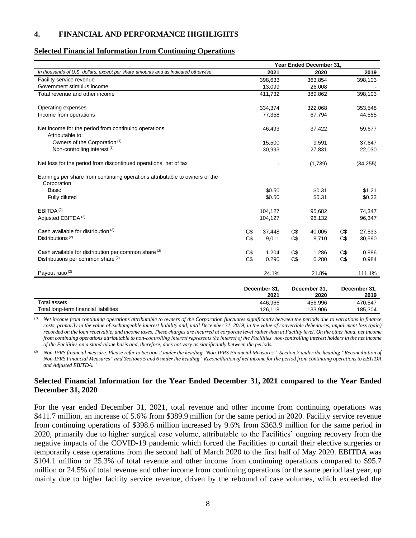#### <span id="page-7-0"></span>**4. FINANCIAL AND PERFORMANCE HIGHLIGHTS**

#### **Selected Financial Information from Continuing Operations**

|                                                                                            |     |                      |     | Year Ended December 31, |     |                      |
|--------------------------------------------------------------------------------------------|-----|----------------------|-----|-------------------------|-----|----------------------|
| In thousands of U.S. dollars, except per share amounts and as indicated otherwise          |     | 2021                 |     | 2020                    |     | 2019                 |
| Facility service revenue                                                                   |     | 398,633              |     | 363,854                 |     | 398,103              |
| Government stimulus income                                                                 |     | 13,099               |     | 26,008                  |     |                      |
| Total revenue and other income                                                             |     | 411,732              |     | 389,862                 |     | 398,103              |
| Operating expenses                                                                         |     | 334,374              |     | 322,068                 |     | 353,548              |
| Income from operations                                                                     |     | 77.358               |     | 67.794                  |     | 44,555               |
| Net income for the period from continuing operations<br>Attributable to:                   |     | 46,493               |     | 37,422                  |     | 59,677               |
| Owners of the Corporation <sup>(1)</sup>                                                   |     | 15,500               |     | 9,591                   |     | 37,647               |
| Non-controlling interest <sup>(1)</sup>                                                    |     | 30,993               |     | 27,831                  |     | 22,030               |
| Net loss for the period from discontinued operations, net of tax                           |     |                      |     | (1,739)                 |     | (34, 255)            |
| Earnings per share from continuing operations attributable to owners of the<br>Corporation |     |                      |     |                         |     |                      |
| <b>Basic</b>                                                                               |     | \$0.50               |     | \$0.31                  |     | \$1.21               |
| Fully diluted                                                                              |     | \$0.50               |     | \$0.31                  |     | \$0.33               |
| EBITDA <sup>(2)</sup>                                                                      |     | 104,127              |     | 95,682                  |     | 74,347               |
| Adjusted EBITDA <sup>(2)</sup>                                                             |     | 104,127              |     | 96,132                  |     | 96,347               |
| Cash available for distribution (2)                                                        | C\$ | 37,448               | C\$ | 40,005                  | C\$ | 27,533               |
| Distributions <sup>(2)</sup>                                                               | C\$ | 9,011                | C\$ | 8,710                   | C\$ | 30,590               |
| Cash available for distribution per common share (2)                                       | C\$ | 1.204                | C\$ | 1.286                   | C\$ | 0.886                |
| Distributions per common share (2)                                                         | C\$ | 0.290                | C\$ | 0.280                   | C\$ | 0.984                |
| Payout ratio <sup>(2)</sup>                                                                |     | 24.1%                |     | 21.8%                   |     | 111.1%               |
|                                                                                            |     | December 31,<br>2021 |     | December 31,<br>2020    |     | December 31,<br>2019 |
| <b>Total assets</b>                                                                        |     | 446,966              |     | 456,996                 |     | 470,547              |
| Total long-term financial liabilities                                                      |     | 126.118              |     | 133.906                 |     | 185.304              |

*(1) Net income from continuing operations attributable to owners of the Corporation fluctuates significantly between the periods due to variations in finance costs, primarily in the value of exchangeable interest liability and, until December 31, 2019, in the value of convertible debentures, impairment loss (gain) recorded on the loan receivable, and income taxes. These charges are incurred at corporate level rather than at Facility level. On the other hand, net income from continuing operations attributable to non-controlling interest represents the interest of the Facilities' non-controlling interest holders in the net income of the Facilities on a stand-alone basis and, therefore, does not vary as significantly between the periods.*

*(2) Non-IFRS financial measure. Please refer to Section 2 under the heading "Non-IFRS Financial Measures", Section 7 under the heading "Reconciliation of Non-IFRS Financial Measures" and Sections* 5 and 6 under the heading "Reconciliation of net income for the period from continuing operations to EBITDA *and Adjusted EBITDA."*

#### **Selected Financial Information for the Year Ended December 31, 2021 compared to the Year Ended December 31, 2020**

For the year ended December 31, 2021, total revenue and other income from continuing operations was \$411.7 million, an increase of 5.6% from \$389.9 million for the same period in 2020. Facility service revenue from continuing operations of \$398.6 million increased by 9.6% from \$363.9 million for the same period in 2020, primarily due to higher surgical case volume, attributable to the Facilities' ongoing recovery from the negative impacts of the COVID-19 pandemic which forced the Facilities to curtail their elective surgeries or temporarily cease operations from the second half of March 2020 to the first half of May 2020. EBITDA was \$104.1 million or 25.3% of total revenue and other income from continuing operations compared to \$95.7 million or 24.5% of total revenue and other income from continuing operations for the same period last year, up mainly due to higher facility service revenue, driven by the rebound of case volumes, which exceeded the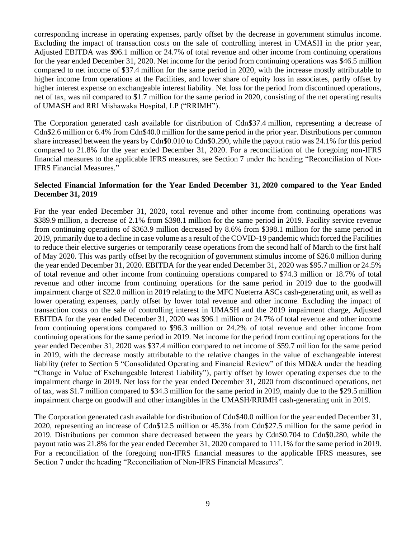corresponding increase in operating expenses, partly offset by the decrease in government stimulus income. Excluding the impact of transaction costs on the sale of controlling interest in UMASH in the prior year, Adjusted EBITDA was \$96.1 million or 24.7% of total revenue and other income from continuing operations for the year ended December 31, 2020. Net income for the period from continuing operations was \$46.5 million compared to net income of \$37.4 million for the same period in 2020, with the increase mostly attributable to higher income from operations at the Facilities, and lower share of equity loss in associates, partly offset by higher interest expense on exchangeable interest liability. Net loss for the period from discontinued operations, net of tax, was nil compared to \$1.7 million for the same period in 2020, consisting of the net operating results of UMASH and RRI Mishawaka Hospital, LP ("RRIMH").

The Corporation generated cash available for distribution of Cdn\$37.4 million, representing a decrease of Cdn\$2.6 million or 6.4% from Cdn\$40.0 million for the same period in the prior year. Distributions per common share increased between the years by Cdn\$0.010 to Cdn\$0.290, while the payout ratio was 24.1% for this period compared to 21.8% for the year ended December 31, 2020. For a reconciliation of the foregoing non-IFRS financial measures to the applicable IFRS measures, see Section 7 under the heading "Reconciliation of Non-IFRS Financial Measures."

## **Selected Financial Information for the Year Ended December 31, 2020 compared to the Year Ended December 31, 2019**

For the year ended December 31, 2020, total revenue and other income from continuing operations was \$389.9 million, a decrease of 2.1% from \$398.1 million for the same period in 2019. Facility service revenue from continuing operations of \$363.9 million decreased by 8.6% from \$398.1 million for the same period in 2019, primarily due to a decline in case volume as a result of the COVID-19 pandemic which forced the Facilities to reduce their elective surgeries or temporarily cease operations from the second half of March to the first half of May 2020. This was partly offset by the recognition of government stimulus income of \$26.0 million during the year ended December 31, 2020. EBITDA for the year ended December 31, 2020 was \$95.7 million or 24.5% of total revenue and other income from continuing operations compared to \$74.3 million or 18.7% of total revenue and other income from continuing operations for the same period in 2019 due to the goodwill impairment charge of \$22.0 million in 2019 relating to the MFC Nueterra ASCs cash-generating unit, as well as lower operating expenses, partly offset by lower total revenue and other income. Excluding the impact of transaction costs on the sale of controlling interest in UMASH and the 2019 impairment charge, Adjusted EBITDA for the year ended December 31, 2020 was \$96.1 million or 24.7% of total revenue and other income from continuing operations compared to \$96.3 million or 24.2% of total revenue and other income from continuing operations for the same period in 2019. Net income for the period from continuing operations for the year ended December 31, 2020 was \$37.4 million compared to net income of \$59.7 million for the same period in 2019, with the decrease mostly attributable to the relative changes in the value of exchangeable interest liability (refer to Section 5 "Consolidated Operating and Financial Review" of this MD&A under the heading "Change in Value of Exchangeable Interest Liability"), partly offset by lower operating expenses due to the impairment charge in 2019. Net loss for the year ended December 31, 2020 from discontinued operations, net of tax, was \$1.7 million compared to \$34.3 million for the same period in 2019, mainly due to the \$29.5 million impairment charge on goodwill and other intangibles in the UMASH/RRIMH cash-generating unit in 2019.

The Corporation generated cash available for distribution of Cdn\$40.0 million for the year ended December 31, 2020, representing an increase of Cdn\$12.5 million or 45.3% from Cdn\$27.5 million for the same period in 2019. Distributions per common share decreased between the years by Cdn\$0.704 to Cdn\$0.280, while the payout ratio was 21.8% for the year ended December 31, 2020 compared to 111.1% for the same period in 2019. For a reconciliation of the foregoing non-IFRS financial measures to the applicable IFRS measures, see Section 7 under the heading "Reconciliation of Non-IFRS Financial Measures".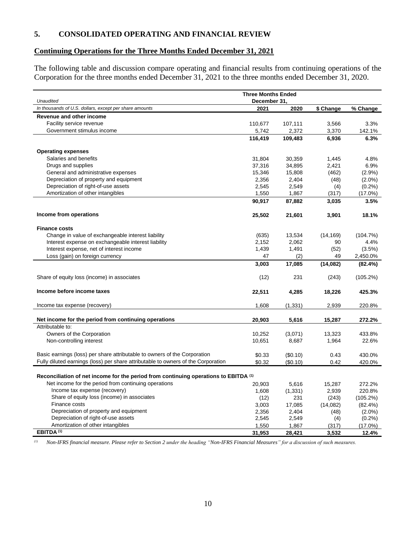## <span id="page-9-0"></span>**5. CONSOLIDATED OPERATING AND FINANCIAL REVIEW**

# **Continuing Operations for the Three Months Ended December 31, 2021**

The following table and discussion compare operating and financial results from continuing operations of the Corporation for the three months ended December 31, 2021 to the three months ended December 31, 2020.

| <b>Unaudited</b>                                                                     | <b>Three Months Ended</b><br>December 31. |          |           |             |
|--------------------------------------------------------------------------------------|-------------------------------------------|----------|-----------|-------------|
| In thousands of U.S. dollars, except per share amounts                               | 2021                                      | 2020     | \$ Change | % Change    |
| Revenue and other income                                                             |                                           |          |           |             |
| Facility service revenue                                                             | 110,677                                   | 107,111  | 3,566     | 3.3%        |
| Government stimulus income                                                           | 5,742                                     | 2,372    | 3,370     | 142.1%      |
|                                                                                      | 116,419                                   | 109,483  | 6,936     | 6.3%        |
|                                                                                      |                                           |          |           |             |
| <b>Operating expenses</b>                                                            |                                           |          |           |             |
| Salaries and benefits                                                                | 31,804                                    | 30,359   | 1,445     | 4.8%        |
| Drugs and supplies                                                                   | 37,316                                    | 34,895   | 2,421     | 6.9%        |
| General and administrative expenses                                                  | 15,346                                    | 15,808   | (462)     | $(2.9\%)$   |
| Depreciation of property and equipment                                               | 2,356                                     | 2,404    | (48)      | $(2.0\%)$   |
| Depreciation of right-of-use assets                                                  | 2,545                                     | 2,549    | (4)       | $(0.2\%)$   |
| Amortization of other intangibles                                                    | 1,550                                     | 1,867    | (317)     | $(17.0\%)$  |
|                                                                                      | 90,917                                    | 87,882   | 3,035     | 3.5%        |
|                                                                                      |                                           |          |           |             |
| Income from operations                                                               | 25,502                                    | 21,601   | 3,901     | 18.1%       |
| <b>Finance costs</b>                                                                 |                                           |          |           |             |
| Change in value of exchangeable interest liability                                   | (635)                                     | 13,534   | (14, 169) | (104.7%)    |
| Interest expense on exchangeable interest liability                                  | 2,152                                     | 2,062    | 90        | 4.4%        |
| Interest expense, net of interest income                                             | 1,439                                     | 1,491    | (52)      | (3.5%)      |
| Loss (gain) on foreign currency                                                      | 47                                        | (2)      | 49        | 2,450.0%    |
|                                                                                      | 3,003                                     | 17,085   | (14,082)  | (82.4%)     |
|                                                                                      |                                           |          |           |             |
| Share of equity loss (income) in associates                                          | (12)                                      | 231      | (243)     | $(105.2\%)$ |
|                                                                                      |                                           |          |           |             |
| Income before income taxes                                                           | 22,511                                    | 4,285    | 18,226    | 425.3%      |
| Income tax expense (recovery)                                                        | 1,608                                     | (1, 331) | 2,939     | 220.8%      |
|                                                                                      |                                           |          |           |             |
| Net income for the period from continuing operations                                 | 20,903                                    | 5,616    | 15,287    | 272.2%      |
| Attributable to:                                                                     |                                           |          |           |             |
| Owners of the Corporation                                                            | 10,252                                    | (3,071)  | 13,323    | 433.8%      |
| Non-controlling interest                                                             | 10,651                                    | 8,687    | 1,964     | 22.6%       |
| Basic earnings (loss) per share attributable to owners of the Corporation            | \$0.33                                    | (\$0.10) | 0.43      | 430.0%      |
| Fully diluted earnings (loss) per share attributable to owners of the Corporation    | \$0.32                                    | (\$0.10) | 0.42      | 420.0%      |
|                                                                                      |                                           |          |           |             |
| Reconciliation of net income for the period from continuing operations to EBITDA (1) |                                           |          |           |             |
| Net income for the period from continuing operations                                 | 20,903                                    | 5,616    | 15,287    | 272.2%      |
| Income tax expense (recovery)                                                        | 1,608                                     | (1, 331) | 2,939     | 220.8%      |
| Share of equity loss (income) in associates                                          | (12)                                      | 231      | (243)     | $(105.2\%)$ |
| Finance costs                                                                        | 3,003                                     | 17,085   | (14,082)  | $(82.4\%)$  |
| Depreciation of property and equipment                                               | 2,356                                     | 2,404    | (48)      | $(2.0\%)$   |
| Depreciation of right-of-use assets                                                  | 2,545                                     | 2,549    | (4)       | (0.2%)      |
| Amortization of other intangibles                                                    | 1,550                                     | 1,867    | (317)     | $(17.0\%)$  |
| EBITDA <sup>(1)</sup>                                                                | 31,953                                    | 28,421   | 3,532     | 12.4%       |

*(1) Non-IFRS financial measure. Please refer to Section 2 under the heading "Non-IFRS Financial Measures" for a discussion of such measures.*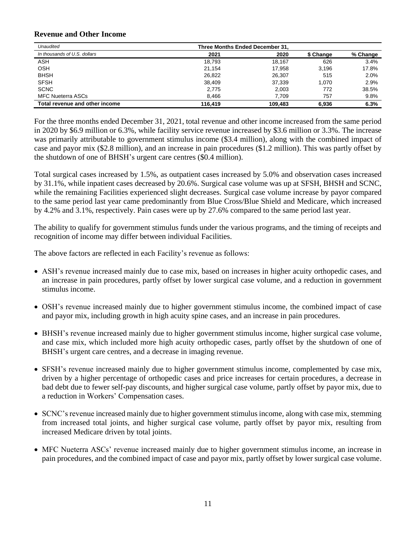#### **Revenue and Other Income**

| Unaudited                      | Three Months Ended December 31. |         |           |          |  |  |
|--------------------------------|---------------------------------|---------|-----------|----------|--|--|
| In thousands of U.S. dollars   | 2021                            | 2020    | \$ Change | % Change |  |  |
| <b>ASH</b>                     | 18,793                          | 18,167  | 626       | 3.4%     |  |  |
| OSH                            | 21,154                          | 17.958  | 3.196     | 17.8%    |  |  |
| <b>BHSH</b>                    | 26.822                          | 26,307  | 515       | 2.0%     |  |  |
| <b>SFSH</b>                    | 38.409                          | 37.339  | 1.070     | 2.9%     |  |  |
| <b>SCNC</b>                    | 2.775                           | 2.003   | 772       | 38.5%    |  |  |
| <b>MFC Nueterra ASCs</b>       | 8.466                           | 7.709   | 757       | 9.8%     |  |  |
| Total revenue and other income | 116.419                         | 109.483 | 6.936     | 6.3%     |  |  |

For the three months ended December 31, 2021, total revenue and other income increased from the same period in 2020 by \$6.9 million or 6.3%, while facility service revenue increased by \$3.6 million or 3.3%. The increase was primarily attributable to government stimulus income (\$3.4 million), along with the combined impact of case and payor mix (\$2.8 million), and an increase in pain procedures (\$1.2 million). This was partly offset by the shutdown of one of BHSH's urgent care centres (\$0.4 million).

Total surgical cases increased by 1.5%, as outpatient cases increased by 5.0% and observation cases increased by 31.1%, while inpatient cases decreased by 20.6%. Surgical case volume was up at SFSH, BHSH and SCNC, while the remaining Facilities experienced slight decreases. Surgical case volume increase by payor compared to the same period last year came predominantly from Blue Cross/Blue Shield and Medicare, which increased by 4.2% and 3.1%, respectively. Pain cases were up by 27.6% compared to the same period last year.

The ability to qualify for government stimulus funds under the various programs, and the timing of receipts and recognition of income may differ between individual Facilities.

The above factors are reflected in each Facility's revenue as follows:

- ASH's revenue increased mainly due to case mix, based on increases in higher acuity orthopedic cases, and an increase in pain procedures, partly offset by lower surgical case volume, and a reduction in government stimulus income.
- OSH's revenue increased mainly due to higher government stimulus income, the combined impact of case and payor mix, including growth in high acuity spine cases, and an increase in pain procedures.
- BHSH's revenue increased mainly due to higher government stimulus income, higher surgical case volume, and case mix, which included more high acuity orthopedic cases, partly offset by the shutdown of one of BHSH's urgent care centres, and a decrease in imaging revenue.
- SFSH's revenue increased mainly due to higher government stimulus income, complemented by case mix, driven by a higher percentage of orthopedic cases and price increases for certain procedures, a decrease in bad debt due to fewer self-pay discounts, and higher surgical case volume, partly offset by payor mix, due to a reduction in Workers' Compensation cases.
- SCNC's revenue increased mainly due to higher government stimulus income, along with case mix, stemming from increased total joints, and higher surgical case volume, partly offset by payor mix, resulting from increased Medicare driven by total joints.
- MFC Nueterra ASCs' revenue increased mainly due to higher government stimulus income, an increase in pain procedures, and the combined impact of case and payor mix, partly offset by lower surgical case volume.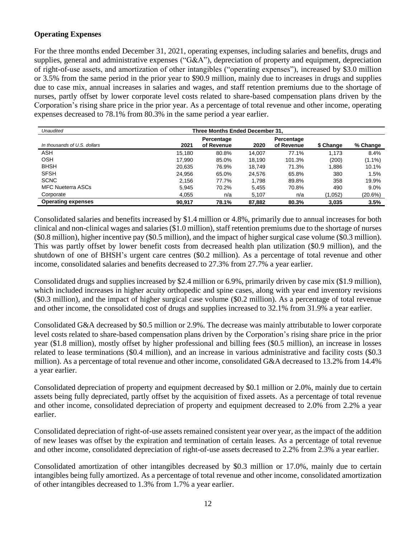## **Operating Expenses**

For the three months ended December 31, 2021, operating expenses, including salaries and benefits, drugs and supplies, general and administrative expenses ("G&A"), depreciation of property and equipment, depreciation of right-of-use assets, and amortization of other intangibles ("operating expenses"), increased by \$3.0 million or 3.5% from the same period in the prior year to \$90.9 million, mainly due to increases in drugs and supplies due to case mix, annual increases in salaries and wages, and staff retention premiums due to the shortage of nurses, partly offset by lower corporate level costs related to share-based compensation plans driven by the Corporation's rising share price in the prior year. As a percentage of total revenue and other income, operating expenses decreased to 78.1% from 80.3% in the same period a year earlier.

| Unaudited                    | Three Months Ended December 31. |                          |        |                          |           |           |  |
|------------------------------|---------------------------------|--------------------------|--------|--------------------------|-----------|-----------|--|
| In thousands of U.S. dollars | 2021                            | Percentage<br>of Revenue | 2020   | Percentage<br>of Revenue | \$ Change | % Change  |  |
| ASH                          | 15.180                          | 80.8%                    | 14.007 | 77.1%                    | 1.173     | 8.4%      |  |
| <b>OSH</b>                   | 17.990                          | 85.0%                    | 18.190 | 101.3%                   | (200)     | $(1.1\%)$ |  |
| <b>BHSH</b>                  | 20.635                          | 76.9%                    | 18.749 | 71.3%                    | 1.886     | 10.1%     |  |
| <b>SFSH</b>                  | 24.956                          | 65.0%                    | 24.576 | 65.8%                    | 380       | 1.5%      |  |
| <b>SCNC</b>                  | 2.156                           | 77.7%                    | 1.798  | 89.8%                    | 358       | 19.9%     |  |
| <b>MFC Nueterra ASCs</b>     | 5.945                           | 70.2%                    | 5.455  | 70.8%                    | 490       | 9.0%      |  |
| Corporate                    | 4,055                           | n/a                      | 5.107  | n/a                      | (1,052)   | (20.6%)   |  |
| <b>Operating expenses</b>    | 90.917                          | 78.1%                    | 87.882 | 80.3%                    | 3.035     | 3.5%      |  |

Consolidated salaries and benefits increased by \$1.4 million or 4.8%, primarily due to annual increases for both clinical and non-clinical wages and salaries (\$1.0 million), staff retention premiums due to the shortage of nurses (\$0.8 million), higher incentive pay (\$0.5 million), and the impact of higher surgical case volume (\$0.3 million). This was partly offset by lower benefit costs from decreased health plan utilization (\$0.9 million), and the shutdown of one of BHSH's urgent care centres (\$0.2 million). As a percentage of total revenue and other income, consolidated salaries and benefits decreased to 27.3% from 27.7% a year earlier.

Consolidated drugs and supplies increased by \$2.4 million or 6.9%, primarily driven by case mix (\$1.9 million), which included increases in higher acuity orthopedic and spine cases, along with year end inventory revisions (\$0.3 million), and the impact of higher surgical case volume (\$0.2 million). As a percentage of total revenue and other income, the consolidated cost of drugs and supplies increased to 32.1% from 31.9% a year earlier.

Consolidated G&A decreased by \$0.5 million or 2.9%. The decrease was mainly attributable to lower corporate level costs related to share-based compensation plans driven by the Corporation's rising share price in the prior year (\$1.8 million), mostly offset by higher professional and billing fees (\$0.5 million), an increase in losses related to lease terminations (\$0.4 million), and an increase in various administrative and facility costs (\$0.3 million). As a percentage of total revenue and other income, consolidated G&A decreased to 13.2% from 14.4% a year earlier.

Consolidated depreciation of property and equipment decreased by \$0.1 million or 2.0%, mainly due to certain assets being fully depreciated, partly offset by the acquisition of fixed assets. As a percentage of total revenue and other income, consolidated depreciation of property and equipment decreased to 2.0% from 2.2% a year earlier.

Consolidated depreciation of right-of-use assets remained consistent year over year, as the impact of the addition of new leases was offset by the expiration and termination of certain leases. As a percentage of total revenue and other income, consolidated depreciation of right-of-use assets decreased to 2.2% from 2.3% a year earlier.

Consolidated amortization of other intangibles decreased by \$0.3 million or 17.0%, mainly due to certain intangibles being fully amortized. As a percentage of total revenue and other income, consolidated amortization of other intangibles decreased to 1.3% from 1.7% a year earlier.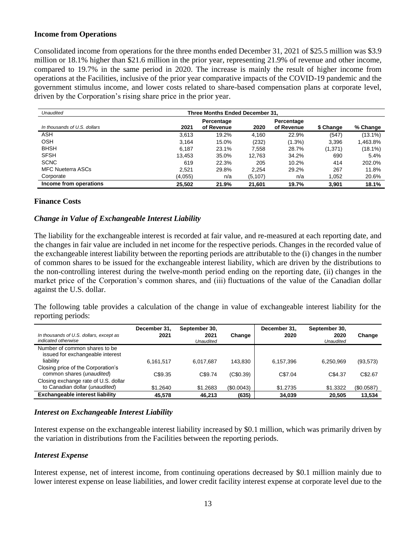#### **Income from Operations**

Consolidated income from operations for the three months ended December 31, 2021 of \$25.5 million was \$3.9 million or 18.1% higher than \$21.6 million in the prior year, representing 21.9% of revenue and other income, compared to 19.7% in the same period in 2020. The increase is mainly the result of higher income from operations at the Facilities, inclusive of the prior year comparative impacts of the COVID-19 pandemic and the government stimulus income, and lower costs related to share-based compensation plans at corporate level, driven by the Corporation's rising share price in the prior year.

| Unaudited                    | Three Months Ended December 31. |                                  |          |                          |           |            |
|------------------------------|---------------------------------|----------------------------------|----------|--------------------------|-----------|------------|
| In thousands of U.S. dollars | 2021                            | Percentage<br>of Revenue<br>2020 |          | Percentage<br>of Revenue | \$ Change | % Change   |
| ASH                          | 3.613                           | 19.2%                            | 4.160    | 22.9%                    | (547)     | $(13.1\%)$ |
| <b>OSH</b>                   | 3.164                           | 15.0%                            | (232)    | $(1.3\%)$                | 3.396     | 1,463.8%   |
| <b>BHSH</b>                  | 6.187                           | 23.1%                            | 7.558    | 28.7%                    | (1,371)   | $(18.1\%)$ |
| <b>SFSH</b>                  | 13,453                          | 35.0%                            | 12,763   | 34.2%                    | 690       | 5.4%       |
| <b>SCNC</b>                  | 619                             | 22.3%                            | 205      | 10.2%                    | 414       | 202.0%     |
| <b>MFC Nueterra ASCs</b>     | 2.521                           | 29.8%                            | 2.254    | 29.2%                    | 267       | 11.8%      |
| Corporate                    | (4,055)                         | n/a                              | (5, 107) | n/a                      | 1,052     | 20.6%      |
| Income from operations       | 25.502                          | 21.9%                            | 21.601   | 19.7%                    | 3.901     | 18.1%      |

#### **Finance Costs**

#### *Change in Value of Exchangeable Interest Liability*

The liability for the exchangeable interest is recorded at fair value, and re-measured at each reporting date, and the changes in fair value are included in net income for the respective periods. Changes in the recorded value of the exchangeable interest liability between the reporting periods are attributable to the (i) changes in the number of common shares to be issued for the exchangeable interest liability, which are driven by the distributions to the non-controlling interest during the twelve-month period ending on the reporting date, (ii) changes in the market price of the Corporation's common shares, and (iii) fluctuations of the value of the Canadian dollar against the U.S. dollar.

The following table provides a calculation of the change in value of exchangeable interest liability for the reporting periods:

| In thousands of U.S. dollars, except as<br>indicated otherwise         | December 31,<br>2021 | September 30,<br>2021<br>Unaudited | Change    | December 31.<br>2020 | September 30,<br>2020<br>Unaudited | Change     |
|------------------------------------------------------------------------|----------------------|------------------------------------|-----------|----------------------|------------------------------------|------------|
| Number of common shares to be<br>issued for exchangeable interest      |                      |                                    |           |                      |                                    |            |
| liability                                                              | 6,161,517            | 6.017.687                          | 143.830   | 6,157,396            | 6.250.969                          | (93, 573)  |
| Closing price of the Corporation's<br>common shares (unaudited)        | C\$9.35              | C\$9.74                            | (C\$0.39) | C\$7.04              | C\$4.37                            | C\$2.67    |
| Closing exchange rate of U.S. dollar<br>to Canadian dollar (unaudited) | \$1.2640             | \$1,2683                           | (S0.0043) | \$1,2735             | \$1,3322                           | (\$0.0587) |
| <b>Exchangeable interest liability</b>                                 | 45.578               | 46.213                             | (635)     | 34,039               | 20.505                             | 13,534     |

#### *Interest on Exchangeable Interest Liability*

Interest expense on the exchangeable interest liability increased by \$0.1 million, which was primarily driven by the variation in distributions from the Facilities between the reporting periods.

## *Interest Expense*

Interest expense, net of interest income, from continuing operations decreased by \$0.1 million mainly due to lower interest expense on lease liabilities, and lower credit facility interest expense at corporate level due to the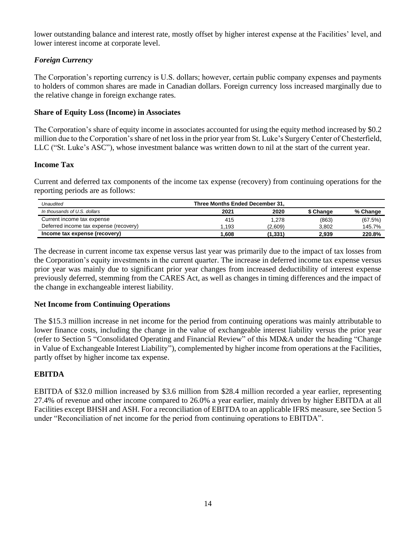lower outstanding balance and interest rate, mostly offset by higher interest expense at the Facilities' level, and lower interest income at corporate level.

# *Foreign Currency*

The Corporation's reporting currency is U.S. dollars; however, certain public company expenses and payments to holders of common shares are made in Canadian dollars. Foreign currency loss increased marginally due to the relative change in foreign exchange rates.

## **Share of Equity Loss (Income) in Associates**

The Corporation's share of equity income in associates accounted for using the equity method increased by \$0.2 million due to the Corporation's share of net loss in the prior year from St. Luke's Surgery Center of Chesterfield, LLC ("St. Luke's ASC"), whose investment balance was written down to nil at the start of the current year.

## **Income Tax**

Current and deferred tax components of the income tax expense (recovery) from continuing operations for the reporting periods are as follows:

| Unaudited                              | Three Months Ended December 31. |         |           |          |  |  |
|----------------------------------------|---------------------------------|---------|-----------|----------|--|--|
| In thousands of U.S. dollars           | 2021                            | 2020    | \$ Change | % Change |  |  |
| Current income tax expense             | 415                             | 1,278   | (863)     | (67.5%)  |  |  |
| Deferred income tax expense (recovery) | 1.193                           | (2.609) | 3.802     | 145.7%   |  |  |
| Income tax expense (recovery)          | .608                            | (1,331) | 2.939     | 220.8%   |  |  |

The decrease in current income tax expense versus last year was primarily due to the impact of tax losses from the Corporation's equity investments in the current quarter. The increase in deferred income tax expense versus prior year was mainly due to significant prior year changes from increased deductibility of interest expense previously deferred, stemming from the CARES Act, as well as changes in timing differences and the impact of the change in exchangeable interest liability.

## **Net Income from Continuing Operations**

The \$15.3 million increase in net income for the period from continuing operations was mainly attributable to lower finance costs, including the change in the value of exchangeable interest liability versus the prior year (refer to Section 5 "Consolidated Operating and Financial Review" of this MD&A under the heading "Change in Value of Exchangeable Interest Liability"), complemented by higher income from operations at the Facilities, partly offset by higher income tax expense.

## **EBITDA**

EBITDA of \$32.0 million increased by \$3.6 million from \$28.4 million recorded a year earlier, representing 27.4% of revenue and other income compared to 26.0% a year earlier, mainly driven by higher EBITDA at all Facilities except BHSH and ASH. For a reconciliation of EBITDA to an applicable IFRS measure, see Section 5 under "Reconciliation of net income for the period from continuing operations to EBITDA".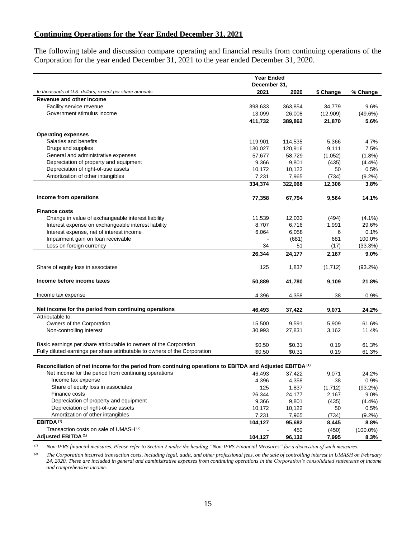## **Continuing Operations for the Year Ended December 31, 2021**

The following table and discussion compare operating and financial results from continuing operations of the Corporation for the year ended December 31, 2021 to the year ended December 31, 2020.

|                                                                                                                     | <b>Year Ended</b> |         |           |             |  |  |
|---------------------------------------------------------------------------------------------------------------------|-------------------|---------|-----------|-------------|--|--|
|                                                                                                                     | December 31,      |         |           |             |  |  |
| In thousands of U.S. dollars, except per share amounts                                                              | 2021              | 2020    | \$ Change | % Change    |  |  |
| Revenue and other income                                                                                            |                   |         |           |             |  |  |
| Facility service revenue                                                                                            | 398,633           | 363,854 | 34,779    | 9.6%        |  |  |
| Government stimulus income                                                                                          | 13,099            | 26,008  | (12,909)  | $(49.6\%)$  |  |  |
|                                                                                                                     | 411,732           | 389,862 | 21,870    | 5.6%        |  |  |
|                                                                                                                     |                   |         |           |             |  |  |
| <b>Operating expenses</b>                                                                                           |                   |         |           |             |  |  |
| Salaries and benefits                                                                                               | 119,901           | 114,535 | 5,366     | 4.7%        |  |  |
| Drugs and supplies                                                                                                  | 130,027           | 120,916 | 9,111     | 7.5%        |  |  |
| General and administrative expenses                                                                                 | 57,677            | 58,729  | (1,052)   | $(1.8\%)$   |  |  |
| Depreciation of property and equipment                                                                              | 9,366             | 9,801   | (435)     | (4.4%)      |  |  |
| Depreciation of right-of-use assets                                                                                 | 10,172            | 10,122  | 50        | 0.5%        |  |  |
| Amortization of other intangibles                                                                                   | 7,231             | 7,965   | (734)     | $(9.2\%)$   |  |  |
|                                                                                                                     | 334,374           | 322,068 | 12,306    | 3.8%        |  |  |
| Income from operations                                                                                              | 77,358            | 67,794  | 9,564     | 14.1%       |  |  |
|                                                                                                                     |                   |         |           |             |  |  |
| <b>Finance costs</b>                                                                                                |                   |         |           |             |  |  |
| Change in value of exchangeable interest liability                                                                  | 11,539            | 12,033  | (494)     | $(4.1\%)$   |  |  |
| Interest expense on exchangeable interest liability                                                                 | 8,707             | 6,716   | 1,991     | 29.6%       |  |  |
| Interest expense, net of interest income                                                                            | 6,064             | 6,058   | 6         | 0.1%        |  |  |
| Impairment gain on loan receivable                                                                                  |                   | (681)   | 681       | 100.0%      |  |  |
| Loss on foreign currency                                                                                            | 34                | 51      | (17)      | (33.3%)     |  |  |
|                                                                                                                     | 26,344            | 24,177  | 2,167     | 9.0%        |  |  |
| Share of equity loss in associates                                                                                  | 125               | 1,837   | (1,712)   | $(93.2\%)$  |  |  |
| Income before income taxes                                                                                          | 50,889            | 41,780  | 9,109     | 21.8%       |  |  |
| Income tax expense                                                                                                  | 4,396             | 4,358   | 38        | 0.9%        |  |  |
|                                                                                                                     |                   |         |           |             |  |  |
| Net income for the period from continuing operations                                                                | 46,493            | 37,422  | 9,071     | 24.2%       |  |  |
| Attributable to:                                                                                                    |                   |         |           |             |  |  |
| Owners of the Corporation                                                                                           | 15,500            | 9,591   | 5,909     | 61.6%       |  |  |
| Non-controlling interest                                                                                            | 30,993            | 27,831  | 3,162     | 11.4%       |  |  |
| Basic earnings per share attributable to owners of the Corporation                                                  | \$0.50            | \$0.31  | 0.19      | 61.3%       |  |  |
| Fully diluted earnings per share attributable to owners of the Corporation                                          | \$0.50            | \$0.31  | 0.19      | 61.3%       |  |  |
|                                                                                                                     |                   |         |           |             |  |  |
| Reconciliation of net income for the period from continuing operations to EBITDA and Adjusted EBITDA <sup>(1)</sup> |                   |         |           |             |  |  |
| Net income for the period from continuing operations                                                                | 46,493            | 37,422  | 9,071     | 24.2%       |  |  |
| Income tax expense                                                                                                  | 4,396             | 4,358   | 38        | 0.9%        |  |  |
| Share of equity loss in associates                                                                                  | 125               | 1,837   | (1,712)   | $(93.2\%)$  |  |  |
| Finance costs                                                                                                       | 26,344            | 24,177  | 2,167     | 9.0%        |  |  |
| Depreciation of property and equipment                                                                              | 9,366             | 9,801   | (435)     | (4.4%)      |  |  |
| Depreciation of right-of-use assets                                                                                 | 10,172            | 10,122  | 50        | 0.5%        |  |  |
| Amortization of other intangibles                                                                                   | 7,231             | 7,965   | (734)     | $(9.2\%)$   |  |  |
| EBITDA <sup>(1)</sup>                                                                                               | 104,127           | 95,682  | 8,445     | 8.8%        |  |  |
| Transaction costs on sale of UMASH <sup>(2)</sup>                                                                   |                   | 450     | (450)     | $(100.0\%)$ |  |  |
| Adjusted EBITDA <sup>(1)</sup>                                                                                      |                   |         |           |             |  |  |
|                                                                                                                     | 104,127           | 96,132  | 7,995     | 8.3%        |  |  |

*(1) Non-IFRS financial measures. Please refer to Section 2 under the heading "Non-IFRS Financial Measures" for a discussion of such measures.*

*(2) The Corporation incurred transaction costs, including legal, audit, and other professional fees, on the sale of controlling interest in UMASH on February 24, 2020. These are included in general and administrative expenses from continuing operations in the Corporation's consolidated statements of income and comprehensive income.*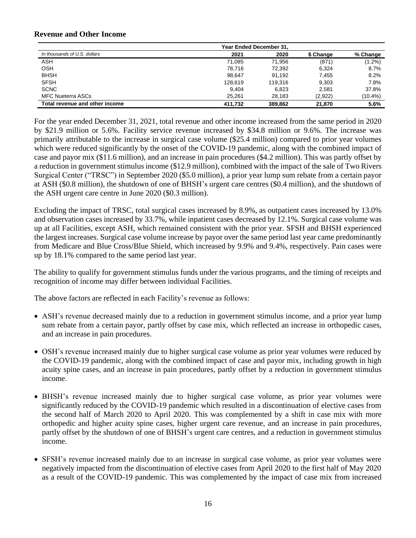#### **Revenue and Other Income**

|                                | <b>Year Ended December 31.</b> |         |           |           |
|--------------------------------|--------------------------------|---------|-----------|-----------|
| In thousands of U.S. dollars   | 2021                           | 2020    | \$ Change | % Change  |
| <b>ASH</b>                     | 71.085                         | 71.956  | (871)     | $(1.2\%)$ |
| <b>OSH</b>                     | 78.716                         | 72,392  | 6.324     | 8.7%      |
| <b>BHSH</b>                    | 98.647                         | 91.192  | 7.455     | 8.2%      |
| <b>SFSH</b>                    | 128.619                        | 119.316 | 9.303     | 7.8%      |
| <b>SCNC</b>                    | 9.404                          | 6.823   | 2.581     | 37.8%     |
| <b>MFC Nueterra ASCs</b>       | 25.261                         | 28.183  | (2,922)   | (10.4%)   |
| Total revenue and other income | 411.732                        | 389.862 | 21.870    | 5.6%      |

For the year ended December 31, 2021, total revenue and other income increased from the same period in 2020 by \$21.9 million or 5.6%. Facility service revenue increased by \$34.8 million or 9.6%. The increase was primarily attributable to the increase in surgical case volume (\$25.4 million) compared to prior year volumes which were reduced significantly by the onset of the COVID-19 pandemic, along with the combined impact of case and payor mix (\$11.6 million), and an increase in pain procedures (\$4.2 million). This was partly offset by a reduction in government stimulus income (\$12.9 million), combined with the impact of the sale of Two Rivers Surgical Center ("TRSC") in September 2020 (\$5.0 million), a prior year lump sum rebate from a certain payor at ASH (\$0.8 million), the shutdown of one of BHSH's urgent care centres (\$0.4 million), and the shutdown of the ASH urgent care centre in June 2020 (\$0.3 million).

Excluding the impact of TRSC, total surgical cases increased by 8.9%, as outpatient cases increased by 13.0% and observation cases increased by 33.7%, while inpatient cases decreased by 12.1%. Surgical case volume was up at all Facilities, except ASH, which remained consistent with the prior year. SFSH and BHSH experienced the largest increases. Surgical case volume increase by payor over the same period last year came predominantly from Medicare and Blue Cross/Blue Shield, which increased by 9.9% and 9.4%, respectively. Pain cases were up by 18.1% compared to the same period last year.

The ability to qualify for government stimulus funds under the various programs, and the timing of receipts and recognition of income may differ between individual Facilities.

The above factors are reflected in each Facility's revenue as follows:

- ASH's revenue decreased mainly due to a reduction in government stimulus income, and a prior year lump sum rebate from a certain payor, partly offset by case mix, which reflected an increase in orthopedic cases, and an increase in pain procedures.
- OSH's revenue increased mainly due to higher surgical case volume as prior year volumes were reduced by the COVID-19 pandemic, along with the combined impact of case and payor mix, including growth in high acuity spine cases, and an increase in pain procedures, partly offset by a reduction in government stimulus income.
- BHSH's revenue increased mainly due to higher surgical case volume, as prior year volumes were significantly reduced by the COVID-19 pandemic which resulted in a discontinuation of elective cases from the second half of March 2020 to April 2020. This was complemented by a shift in case mix with more orthopedic and higher acuity spine cases, higher urgent care revenue, and an increase in pain procedures, partly offset by the shutdown of one of BHSH's urgent care centres, and a reduction in government stimulus income.
- SFSH's revenue increased mainly due to an increase in surgical case volume, as prior year volumes were negatively impacted from the discontinuation of elective cases from April 2020 to the first half of May 2020 as a result of the COVID-19 pandemic. This was complemented by the impact of case mix from increased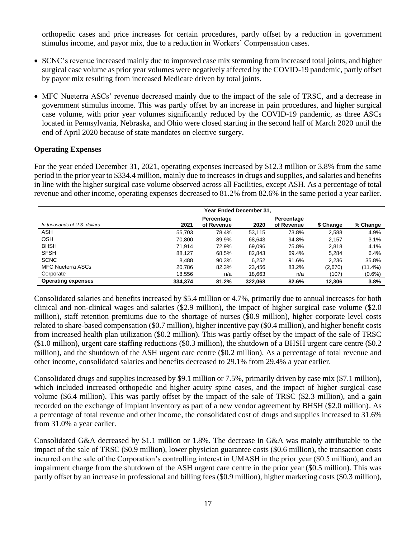orthopedic cases and price increases for certain procedures, partly offset by a reduction in government stimulus income, and payor mix, due to a reduction in Workers' Compensation cases.

- SCNC's revenue increased mainly due to improved case mix stemming from increased total joints, and higher surgical case volume as prior year volumes were negatively affected by the COVID-19 pandemic, partly offset by payor mix resulting from increased Medicare driven by total joints.
- MFC Nueterra ASCs' revenue decreased mainly due to the impact of the sale of TRSC, and a decrease in government stimulus income. This was partly offset by an increase in pain procedures, and higher surgical case volume, with prior year volumes significantly reduced by the COVID-19 pandemic, as three ASCs located in Pennsylvania, Nebraska, and Ohio were closed starting in the second half of March 2020 until the end of April 2020 because of state mandates on elective surgery.

## **Operating Expenses**

For the year ended December 31, 2021, operating expenses increased by \$12.3 million or 3.8% from the same period in the prior year to \$334.4 million, mainly due to increases in drugs and supplies, and salaries and benefits in line with the higher surgical case volume observed across all Facilities, except ASH. As a percentage of total revenue and other income, operating expenses decreased to 81.2% from 82.6% in the same period a year earlier.

| In thousands of U.S. dollars | 2021    | Percentage<br>of Revenue | 2020    | Percentage<br>of Revenue | \$ Change | % Change   |
|------------------------------|---------|--------------------------|---------|--------------------------|-----------|------------|
| <b>ASH</b>                   | 55,703  | 78.4%                    | 53,115  | 73.8%                    | 2,588     | 4.9%       |
| <b>OSH</b>                   | 70.800  | 89.9%                    | 68.643  | 94.8%                    | 2.157     | 3.1%       |
| <b>BHSH</b>                  | 71.914  | 72.9%                    | 69.096  | 75.8%                    | 2.818     | 4.1%       |
| <b>SFSH</b>                  | 88.127  | 68.5%                    | 82.843  | 69.4%                    | 5.284     | 6.4%       |
| <b>SCNC</b>                  | 8.488   | 90.3%                    | 6.252   | 91.6%                    | 2.236     | 35.8%      |
| <b>MFC Nueterra ASCs</b>     | 20.786  | 82.3%                    | 23,456  | 83.2%                    | (2,670)   | $(11.4\%)$ |
| Corporate                    | 18,556  | n/a                      | 18,663  | n/a                      | (107)     | $(0.6\%)$  |
| <b>Operating expenses</b>    | 334.374 | 81.2%                    | 322.068 | 82.6%                    | 12,306    | 3.8%       |

Consolidated salaries and benefits increased by \$5.4 million or 4.7%, primarily due to annual increases for both clinical and non-clinical wages and salaries (\$2.9 million), the impact of higher surgical case volume (\$2.0 million), staff retention premiums due to the shortage of nurses (\$0.9 million), higher corporate level costs related to share-based compensation (\$0.7 million), higher incentive pay (\$0.4 million), and higher benefit costs from increased health plan utilization (\$0.2 million). This was partly offset by the impact of the sale of TRSC (\$1.0 million), urgent care staffing reductions (\$0.3 million), the shutdown of a BHSH urgent care centre (\$0.2 million), and the shutdown of the ASH urgent care centre (\$0.2 million). As a percentage of total revenue and other income, consolidated salaries and benefits decreased to 29.1% from 29.4% a year earlier.

Consolidated drugs and supplies increased by \$9.1 million or 7.5%, primarily driven by case mix (\$7.1 million), which included increased orthopedic and higher acuity spine cases, and the impact of higher surgical case volume (\$6.4 million). This was partly offset by the impact of the sale of TRSC (\$2.3 million), and a gain recorded on the exchange of implant inventory as part of a new vendor agreement by BHSH (\$2.0 million). As a percentage of total revenue and other income, the consolidated cost of drugs and supplies increased to 31.6% from 31.0% a year earlier.

Consolidated G&A decreased by \$1.1 million or 1.8%. The decrease in G&A was mainly attributable to the impact of the sale of TRSC (\$0.9 million), lower physician guarantee costs (\$0.6 million), the transaction costs incurred on the sale of the Corporation's controlling interest in UMASH in the prior year (\$0.5 million), and an impairment charge from the shutdown of the ASH urgent care centre in the prior year (\$0.5 million). This was partly offset by an increase in professional and billing fees (\$0.9 million), higher marketing costs (\$0.3 million),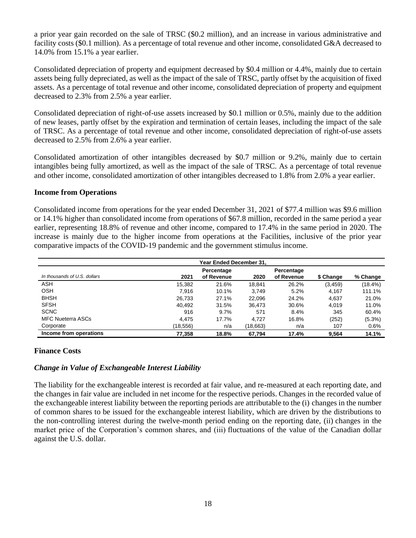a prior year gain recorded on the sale of TRSC (\$0.2 million), and an increase in various administrative and facility costs (\$0.1 million). As a percentage of total revenue and other income, consolidated G&A decreased to 14.0% from 15.1% a year earlier.

Consolidated depreciation of property and equipment decreased by \$0.4 million or 4.4%, mainly due to certain assets being fully depreciated, as well as the impact of the sale of TRSC, partly offset by the acquisition of fixed assets. As a percentage of total revenue and other income, consolidated depreciation of property and equipment decreased to 2.3% from 2.5% a year earlier.

Consolidated depreciation of right-of-use assets increased by \$0.1 million or 0.5%, mainly due to the addition of new leases, partly offset by the expiration and termination of certain leases, including the impact of the sale of TRSC. As a percentage of total revenue and other income, consolidated depreciation of right-of-use assets decreased to 2.5% from 2.6% a year earlier.

Consolidated amortization of other intangibles decreased by \$0.7 million or 9.2%, mainly due to certain intangibles being fully amortized, as well as the impact of the sale of TRSC. As a percentage of total revenue and other income, consolidated amortization of other intangibles decreased to 1.8% from 2.0% a year earlier.

#### **Income from Operations**

Consolidated income from operations for the year ended December 31, 2021 of \$77.4 million was \$9.6 million or 14.1% higher than consolidated income from operations of \$67.8 million, recorded in the same period a year earlier, representing 18.8% of revenue and other income, compared to 17.4% in the same period in 2020. The increase is mainly due to the higher income from operations at the Facilities, inclusive of the prior year comparative impacts of the COVID-19 pandemic and the government stimulus income.

| Year Ended December 31.      |          |                          |          |                          |           |           |
|------------------------------|----------|--------------------------|----------|--------------------------|-----------|-----------|
| In thousands of U.S. dollars | 2021     | Percentage<br>of Revenue | 2020     | Percentage<br>of Revenue | \$ Change | % Change  |
| ASH                          | 15,382   | 21.6%                    | 18,841   | 26.2%                    | (3, 459)  | (18.4%)   |
| <b>OSH</b>                   | 7.916    | 10.1%                    | 3.749    | 5.2%                     | 4.167     | 111.1%    |
| <b>BHSH</b>                  | 26.733   | 27.1%                    | 22.096   | 24.2%                    | 4.637     | 21.0%     |
| <b>SFSH</b>                  | 40,492   | 31.5%                    | 36.473   | 30.6%                    | 4.019     | 11.0%     |
| <b>SCNC</b>                  | 916      | 9.7%                     | 571      | 8.4%                     | 345       | 60.4%     |
| <b>MFC Nueterra ASCs</b>     | 4.475    | 17.7%                    | 4.727    | 16.8%                    | (252)     | $(5.3\%)$ |
| Corporate                    | (18,556) | n/a                      | (18,663) | n/a                      | 107       | 0.6%      |
| Income from operations       | 77.358   | 18.8%                    | 67.794   | 17.4%                    | 9.564     | 14.1%     |

## **Finance Costs**

## *Change in Value of Exchangeable Interest Liability*

The liability for the exchangeable interest is recorded at fair value, and re-measured at each reporting date, and the changes in fair value are included in net income for the respective periods. Changes in the recorded value of the exchangeable interest liability between the reporting periods are attributable to the (i) changes in the number of common shares to be issued for the exchangeable interest liability, which are driven by the distributions to the non-controlling interest during the twelve-month period ending on the reporting date, (ii) changes in the market price of the Corporation's common shares, and (iii) fluctuations of the value of the Canadian dollar against the U.S. dollar.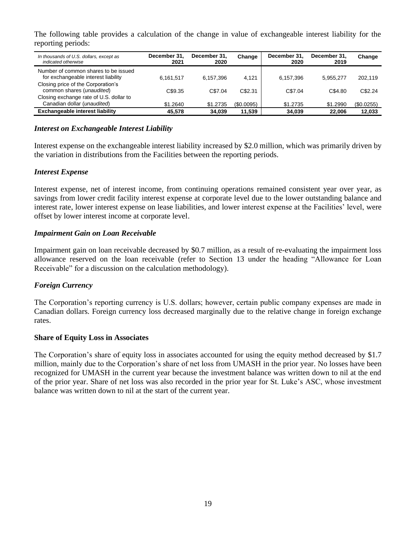The following table provides a calculation of the change in value of exchangeable interest liability for the reporting periods:

| In thousands of U.S. dollars, except as<br>indicated otherwise              | December 31.<br>2021 | December 31.<br>2020 | Change     | December 31.<br>2020 | December 31.<br>2019 | Change     |
|-----------------------------------------------------------------------------|----------------------|----------------------|------------|----------------------|----------------------|------------|
| Number of common shares to be issued<br>for exchangeable interest liability | 6.161.517            | 6.157.396            | 4.121      | 6.157.396            | 5.955.277            | 202.119    |
| Closing price of the Corporation's<br>common shares (unaudited)             | C\$9.35              | C\$7.04              | C\$2.31    | C\$7.04              | C\$4.80              | C\$2.24    |
| Closing exchange rate of U.S. dollar to<br>Canadian dollar (unaudited)      | \$1.2640             | \$1,2735             | (\$0.0095) | \$1,2735             | \$1.2990             | (\$0.0255) |
| Exchangeable interest liability                                             | 45.578               | 34.039               | 11,539     | 34,039               | 22,006               | 12.033     |

## *Interest on Exchangeable Interest Liability*

Interest expense on the exchangeable interest liability increased by \$2.0 million, which was primarily driven by the variation in distributions from the Facilities between the reporting periods.

## *Interest Expense*

Interest expense, net of interest income, from continuing operations remained consistent year over year, as savings from lower credit facility interest expense at corporate level due to the lower outstanding balance and interest rate, lower interest expense on lease liabilities, and lower interest expense at the Facilities' level, were offset by lower interest income at corporate level.

#### *Impairment Gain on Loan Receivable*

Impairment gain on loan receivable decreased by \$0.7 million, as a result of re-evaluating the impairment loss allowance reserved on the loan receivable (refer to Section 13 under the heading "Allowance for Loan Receivable" for a discussion on the calculation methodology).

## *Foreign Currency*

The Corporation's reporting currency is U.S. dollars; however, certain public company expenses are made in Canadian dollars. Foreign currency loss decreased marginally due to the relative change in foreign exchange rates.

#### **Share of Equity Loss in Associates**

The Corporation's share of equity loss in associates accounted for using the equity method decreased by \$1.7 million, mainly due to the Corporation's share of net loss from UMASH in the prior year. No losses have been recognized for UMASH in the current year because the investment balance was written down to nil at the end of the prior year. Share of net loss was also recorded in the prior year for St. Luke's ASC, whose investment balance was written down to nil at the start of the current year.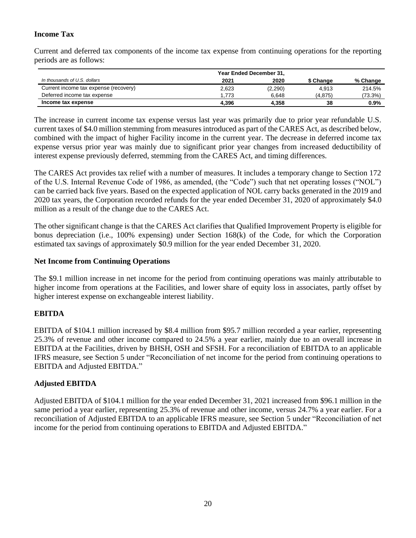# **Income Tax**

Current and deferred tax components of the income tax expense from continuing operations for the reporting periods are as follows:

|                                       | Year Ended December 31, |         |           |          |  |
|---------------------------------------|-------------------------|---------|-----------|----------|--|
| In thousands of U.S. dollars          | 2021                    | 2020    | \$ Change | % Change |  |
| Current income tax expense (recovery) | 2,623                   | (2,290) | 4.913     | 214.5%   |  |
| Deferred income tax expense           | 1.773                   | 6.648   | (4.875)   | (73.3%)  |  |
| Income tax expense                    | 4.396                   | 4.358   | 38        | $0.9\%$  |  |

The increase in current income tax expense versus last year was primarily due to prior year refundable U.S. current taxes of \$4.0 million stemming from measures introduced as part of the CARES Act, as described below, combined with the impact of higher Facility income in the current year. The decrease in deferred income tax expense versus prior year was mainly due to significant prior year changes from increased deductibility of interest expense previously deferred, stemming from the CARES Act, and timing differences.

The CARES Act provides tax relief with a number of measures. It includes a temporary change to Section 172 of the U.S. Internal Revenue Code of 1986, as amended, (the "Code") such that net operating losses ("NOL") can be carried back five years. Based on the expected application of NOL carry backs generated in the 2019 and 2020 tax years, the Corporation recorded refunds for the year ended December 31, 2020 of approximately \$4.0 million as a result of the change due to the CARES Act.

The other significant change is that the CARES Act clarifies that Qualified Improvement Property is eligible for bonus depreciation (i.e., 100% expensing) under Section 168(k) of the Code, for which the Corporation estimated tax savings of approximately \$0.9 million for the year ended December 31, 2020.

## **Net Income from Continuing Operations**

The \$9.1 million increase in net income for the period from continuing operations was mainly attributable to higher income from operations at the Facilities, and lower share of equity loss in associates, partly offset by higher interest expense on exchangeable interest liability.

## **EBITDA**

EBITDA of \$104.1 million increased by \$8.4 million from \$95.7 million recorded a year earlier, representing 25.3% of revenue and other income compared to 24.5% a year earlier, mainly due to an overall increase in EBITDA at the Facilities, driven by BHSH, OSH and SFSH. For a reconciliation of EBITDA to an applicable IFRS measure, see Section 5 under "Reconciliation of net income for the period from continuing operations to EBITDA and Adjusted EBITDA."

## **Adjusted EBITDA**

Adjusted EBITDA of \$104.1 million for the year ended December 31, 2021 increased from \$96.1 million in the same period a year earlier, representing 25.3% of revenue and other income, versus 24.7% a year earlier. For a reconciliation of Adjusted EBITDA to an applicable IFRS measure, see Section 5 under "Reconciliation of net income for the period from continuing operations to EBITDA and Adjusted EBITDA."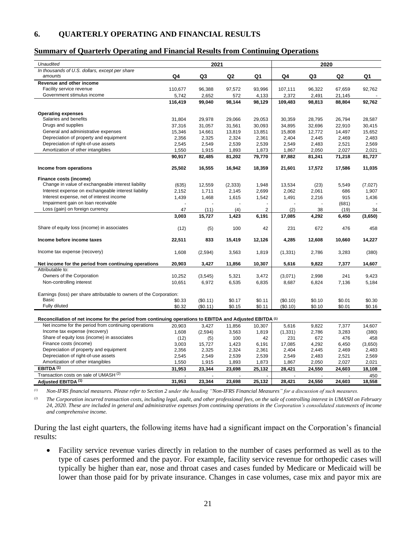#### <span id="page-20-0"></span>**6. QUARTERLY OPERATING AND FINANCIAL RESULTS**

#### **Summary of Quarterly Operating and Financial Results from Continuing Operations**

| Unaudited                                                                                                |         | 2021           |                |                |          | 2020   |                |         |
|----------------------------------------------------------------------------------------------------------|---------|----------------|----------------|----------------|----------|--------|----------------|---------|
| In thousands of U.S. dollars, except per share                                                           |         |                |                |                |          |        |                |         |
| amounts                                                                                                  | Q4      | Q <sub>3</sub> | Q <sub>2</sub> | Q1             | Q4       | Q3     | Q <sub>2</sub> | Q1      |
| Revenue and other income                                                                                 |         |                |                |                |          |        |                |         |
| Facility service revenue                                                                                 | 110,677 | 96,388         | 97,572         | 93,996         | 107,111  | 96,322 | 67,659         | 92.762  |
| Government stimulus income                                                                               | 5,742   | 2,652          | 572            | 4,133          | 2,372    | 2,491  | 21,145         |         |
|                                                                                                          | 116,419 | 99,040         | 98,144         | 98,129         | 109,483  | 98,813 | 88,804         | 92,762  |
|                                                                                                          |         |                |                |                |          |        |                |         |
| <b>Operating expenses</b>                                                                                |         |                |                |                |          |        |                |         |
| Salaries and benefits                                                                                    | 31,804  | 29,978         | 29,066         | 29,053         | 30,359   | 28,795 | 26,794         | 28,587  |
| Drugs and supplies                                                                                       | 37,316  | 31,057         | 31,561         | 30,093         | 34.895   | 32.696 | 22.910         | 30.415  |
| General and administrative expenses                                                                      | 15,346  | 14,661         | 13,819         | 13,851         | 15,808   | 12,772 | 14,497         | 15,652  |
| Depreciation of property and equipment                                                                   | 2,356   | 2,325          | 2,324          | 2,361          | 2.404    | 2.445  | 2.469          | 2.483   |
| Depreciation of right-of-use assets                                                                      | 2,545   | 2,549          | 2,539          | 2,539          | 2,549    | 2,483  | 2,521          | 2,569   |
| Amortization of other intangibles                                                                        | 1,550   | 1,915          | 1,893          | 1,873          | 1,867    | 2,050  | 2,027          | 2,021   |
|                                                                                                          | 90.917  | 82,485         | 81,202         | 79,770         | 87,882   | 81,241 | 71,218         | 81,727  |
| Income from operations                                                                                   | 25,502  | 16,555         | 16,942         | 18,359         | 21,601   | 17,572 | 17,586         | 11,035  |
|                                                                                                          |         |                |                |                |          |        |                |         |
| Finance costs (income)                                                                                   |         |                |                |                |          |        |                |         |
| Change in value of exchangeable interest liability                                                       | (635)   | 12,559         | (2, 333)       | 1,948          | 13,534   | (23)   | 5,549          | (7,027) |
| Interest expense on exchangeable interest liability                                                      | 2,152   | 1,711          | 2,145          | 2,699          | 2,062    | 2,061  | 686            | 1,907   |
| Interest expense, net of interest income                                                                 | 1,439   | 1,468          | 1,615          | 1,542          | 1,491    | 2,216  | 915            | 1,436   |
| Impairment gain on loan receivable                                                                       |         |                |                |                |          |        | (681)          |         |
| Loss (gain) on foreign currency                                                                          | 47      | (11)           | (4)            | $\overline{2}$ | (2)      | 38     | (19)           | 34      |
|                                                                                                          | 3,003   | 15,727         | 1,423          | 6,191          | 17,085   | 4,292  | 6,450          | (3,650) |
| Share of equity loss (income) in associates                                                              | (12)    | (5)            | 100            | 42             | 231      | 672    | 476            | 458     |
| Income before income taxes                                                                               | 22,511  | 833            | 15,419         | 12,126         | 4,285    | 12,608 | 10,660         | 14,227  |
|                                                                                                          |         |                |                |                |          |        |                |         |
| Income tax expense (recovery)                                                                            | 1,608   | (2, 594)       | 3,563          | 1,819          | (1, 331) | 2,786  | 3,283          | (380)   |
| Net income for the period from continuing operations                                                     | 20,903  | 3,427          | 11,856         | 10,307         | 5,616    | 9,822  | 7,377          | 14,607  |
| Attributable to:                                                                                         |         |                |                |                |          |        |                |         |
| Owners of the Corporation                                                                                | 10,252  | (3, 545)       | 5,321          | 3,472          | (3,071)  | 2,998  | 241            | 9,423   |
| Non-controlling interest                                                                                 | 10,651  | 6,972          | 6,535          | 6,835          | 8,687    | 6,824  | 7,136          | 5,184   |
|                                                                                                          |         |                |                |                |          |        |                |         |
| Earnings (loss) per share attributable to owners of the Corporation:                                     |         |                |                |                |          |        |                |         |
| Basic                                                                                                    | \$0.33  | (\$0.11)       | \$0.17         | \$0.11         | (\$0.10) | \$0.10 | \$0.01         | \$0.30  |
| Fully diluted                                                                                            | \$0.32  | (\$0.11)       | \$0.15         | \$0.11         | (\$0.10) | \$0.10 | \$0.01         | \$0.16  |
|                                                                                                          |         |                |                |                |          |        |                |         |
| Reconciliation of net income for the period from continuing operations to EBITDA and Adjusted EBITDA (1) |         |                |                |                |          |        |                |         |
| Net income for the period from continuing operations                                                     | 20,903  | 3,427          | 11,856         | 10,307         | 5,616    | 9,822  | 7,377          | 14,607  |
| Income tax expense (recovery)                                                                            | 1,608   | (2,594)        | 3,563          | 1,819          | (1, 331) | 2,786  | 3,283          | (380)   |
| Share of equity loss (income) in associates                                                              | (12)    | (5)            | 100            | 42             | 231      | 672    | 476            | 458     |
| Finance costs (income)                                                                                   | 3,003   | 15,727         | 1,423          | 6,191          | 17,085   | 4,292  | 6,450          | (3,650) |
| Depreciation of property and equipment                                                                   | 2,356   | 2,325          | 2,324          | 2,361          | 2,404    | 2,445  | 2,469          | 2,483   |
| Depreciation of right-of-use assets                                                                      | 2,545   | 2,549          | 2,539          | 2,539          | 2,549    | 2,483  | 2,521          | 2,569   |
| Amortization of other intangibles                                                                        | 1,550   | 1,915          | 1,893          | 1,873          | 1,867    | 2,050  | 2,027          | 2,021   |
| EBITDA <sup>(1)</sup>                                                                                    | 31,953  | 23,344         | 23,698         | 25,132         | 28,421   | 24,550 | 24,603         | 18,108  |
| Transaction costs on sale of UMASH <sup>(2)</sup>                                                        |         |                |                |                |          |        |                | 450     |
| Adjusted EBITDA <sup>(1)</sup>                                                                           | 31,953  | 23,344         | 23,698         | 25,132         | 28,421   | 24,550 | 24,603         | 18,558  |
|                                                                                                          |         |                |                |                |          |        |                |         |

*(1) Non-IFRS financial measures. Please refer to Section 2 under the heading "Non-IFRS Financial Measures" for a discussion of such measures.*

*(2) The Corporation incurred transaction costs, including legal, audit, and other professional fees, on the sale of controlling interest in UMASH on February*  24, 2020. These are included in general and administrative expenses from continuing operations in the Corporation's consolidated statements of income *and comprehensive income.*

During the last eight quarters, the following items have had a significant impact on the Corporation's financial results:

• Facility service revenue varies directly in relation to the number of cases performed as well as to the type of cases performed and the payor. For example, facility service revenue for orthopedic cases will typically be higher than ear, nose and throat cases and cases funded by Medicare or Medicaid will be lower than those paid for by private insurance. Changes in case volumes, case mix and payor mix are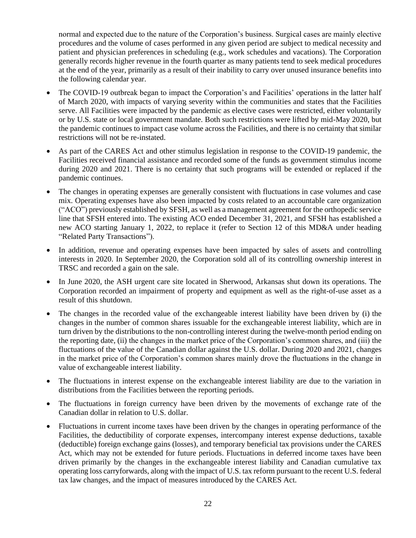normal and expected due to the nature of the Corporation's business. Surgical cases are mainly elective procedures and the volume of cases performed in any given period are subject to medical necessity and patient and physician preferences in scheduling (e.g., work schedules and vacations). The Corporation generally records higher revenue in the fourth quarter as many patients tend to seek medical procedures at the end of the year, primarily as a result of their inability to carry over unused insurance benefits into the following calendar year.

- The COVID-19 outbreak began to impact the Corporation's and Facilities' operations in the latter half of March 2020, with impacts of varying severity within the communities and states that the Facilities serve. All Facilities were impacted by the pandemic as elective cases were restricted, either voluntarily or by U.S. state or local government mandate. Both such restrictions were lifted by mid-May 2020, but the pandemic continues to impact case volume across the Facilities, and there is no certainty that similar restrictions will not be re-instated.
- As part of the CARES Act and other stimulus legislation in response to the COVID-19 pandemic, the Facilities received financial assistance and recorded some of the funds as government stimulus income during 2020 and 2021. There is no certainty that such programs will be extended or replaced if the pandemic continues.
- The changes in operating expenses are generally consistent with fluctuations in case volumes and case mix. Operating expenses have also been impacted by costs related to an accountable care organization ("ACO") previously established by SFSH, as well as a management agreement for the orthopedic service line that SFSH entered into. The existing ACO ended December 31, 2021, and SFSH has established a new ACO starting January 1, 2022, to replace it (refer to Section 12 of this MD&A under heading "Related Party Transactions").
- In addition, revenue and operating expenses have been impacted by sales of assets and controlling interests in 2020. In September 2020, the Corporation sold all of its controlling ownership interest in TRSC and recorded a gain on the sale.
- In June 2020, the ASH urgent care site located in Sherwood, Arkansas shut down its operations. The Corporation recorded an impairment of property and equipment as well as the right-of-use asset as a result of this shutdown.
- The changes in the recorded value of the exchangeable interest liability have been driven by (i) the changes in the number of common shares issuable for the exchangeable interest liability, which are in turn driven by the distributions to the non-controlling interest during the twelve-month period ending on the reporting date, (ii) the changes in the market price of the Corporation's common shares, and (iii) the fluctuations of the value of the Canadian dollar against the U.S. dollar. During 2020 and 2021, changes in the market price of the Corporation's common shares mainly drove the fluctuations in the change in value of exchangeable interest liability.
- The fluctuations in interest expense on the exchangeable interest liability are due to the variation in distributions from the Facilities between the reporting periods.
- The fluctuations in foreign currency have been driven by the movements of exchange rate of the Canadian dollar in relation to U.S. dollar.
- Fluctuations in current income taxes have been driven by the changes in operating performance of the Facilities, the deductibility of corporate expenses, intercompany interest expense deductions, taxable (deductible) foreign exchange gains (losses), and temporary beneficial tax provisions under the CARES Act, which may not be extended for future periods. Fluctuations in deferred income taxes have been driven primarily by the changes in the exchangeable interest liability and Canadian cumulative tax operating loss carryforwards, along with the impact of U.S. tax reform pursuant to the recent U.S. federal tax law changes, and the impact of measures introduced by the CARES Act.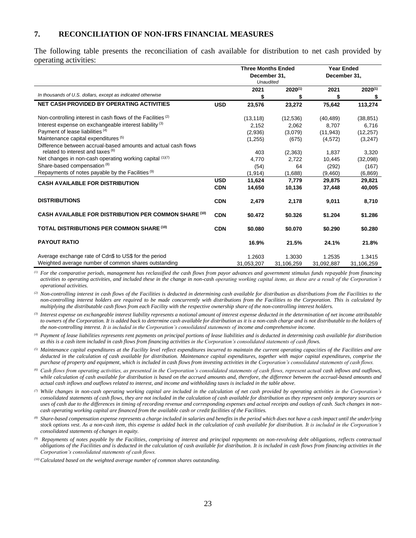#### <span id="page-22-0"></span>**7. RECONCILIATION OF NON-IFRS FINANCIAL MEASURES**

The following table presents the reconciliation of cash available for distribution to net cash provided by operating activities:

|                                                                         |            | <b>Three Months Ended</b><br>December 31,<br><b>Unaudited</b> |              | <b>Year Ended</b><br>December 31, |              |
|-------------------------------------------------------------------------|------------|---------------------------------------------------------------|--------------|-----------------------------------|--------------|
| In thousands of U.S. dollars, except as indicated otherwise             |            | 2021                                                          | $2020^{(1)}$ | 2021                              | $2020^{(1)}$ |
|                                                                         |            | \$                                                            | S            | \$                                | \$           |
| <b>NET CASH PROVIDED BY OPERATING ACTIVITIES</b>                        | <b>USD</b> | 23,576                                                        | 23,272       | 75,642                            | 113,274      |
| Non-controlling interest in cash flows of the Facilities <sup>(2)</sup> |            | (13, 118)                                                     | (12, 536)    | (40, 489)                         | (38, 851)    |
| Interest expense on exchangeable interest liability <sup>(3)</sup>      |            | 2,152                                                         | 2,062        | 8,707                             | 6,716        |
| Payment of lease liabilities (4)                                        |            | (2,936)                                                       | (3,079)      | (11, 943)                         | (12, 257)    |
| Maintenance capital expenditures (5)                                    |            | (1,255)                                                       | (675)        | (4, 572)                          | (3,247)      |
| Difference between accrual-based amounts and actual cash flows          |            |                                                               |              |                                   |              |
| related to interest and taxes (6)                                       |            | 403                                                           | (2,363)      | 1,837                             | 3,320        |
| Net changes in non-cash operating working capital (1)(7)                |            | 4,770                                                         | 2,722        | 10,445                            | (32,098)     |
| Share-based compensation <sup>(8)</sup>                                 |            | (54)                                                          | 64           | (292)                             | (167)        |
| Repayments of notes payable by the Facilities <sup>(9)</sup>            |            | (1, 914)                                                      | (1,688)      | (9,460)                           | (6,869)      |
| <b>CASH AVAILABLE FOR DISTRIBUTION</b>                                  | <b>USD</b> | 11,624                                                        | 7,779        | 29,875                            | 29,821       |
|                                                                         | <b>CDN</b> | 14,650                                                        | 10,136       | 37,448                            | 40,005       |
| <b>DISTRIBUTIONS</b>                                                    | <b>CDN</b> | 2.479                                                         | 2.178        | 9,011                             | 8,710        |
| <b>CASH AVAILABLE FOR DISTRIBUTION PER COMMON SHARE (10)</b>            | <b>CDN</b> | \$0.472                                                       | \$0.326      | \$1.204                           | \$1.286      |
| <b>TOTAL DISTRIBUTIONS PER COMMON SHARE (10)</b>                        | <b>CDN</b> | \$0.080                                                       | \$0.070      | \$0.290                           | \$0.280      |
| <b>PAYOUT RATIO</b>                                                     |            | 16.9%                                                         | 21.5%        | 24.1%                             | 21.8%        |
| Average exchange rate of Cdn\$ to US\$ for the period                   |            | 1.2603                                                        | 1.3030       | 1.2535                            | 1.3415       |
| Weighted average number of common shares outstanding                    |            | 31,053,207                                                    | 31,106,259   | 31,092,887                        | 31,106,259   |

*(1) For the comparative periods, management has reclassified the cash flows from payor advances and government stimulus funds repayable from financing activities to operating activities, and included these in the change in non-cash operating working capital items, as these are a result of the Corporation's operational activities.*

<sup>(2)</sup> Non-controlling interest in cash flows of the Facilities is deducted in determining cash available for distribution as distributions from the Facilities to the *non-controlling interest holders are required to be made concurrently with distributions from the Facilities to the Corporation. This is calculated by multiplying the distributable cash flows from each Facility with the respective ownership share of the non-controlling interest holders.*

*(3) Interest expense on exchangeable interest liability represents a notional amount of interest expense deducted in the determination of net income attributable*  to owners of the Corporation. It is added back to determine cash available for distribution as it is a non-cash charge and is not distributable to the holders of *the non-controlling interest. It is included in the Corporation's consolidated statements of income and comprehensive income.*

*(4) Payment of lease liabilities represents rent payments on principal portions of lease liabilities and is deducted in determining cash available for distribution as this is a cash item included in cash flows from financing activities in the Corporation's consolidated statements of cash flows.*

*(5) Maintenance capital expenditures at the Facility level reflect expenditures incurred to maintain the current operating capacities of the Facilities and are deducted in the calculation of cash available for distribution. Maintenance capital expenditures, together with major capital expenditures, comprise the purchase of property and equipment, which is included in cash flows from investing activities in the Corporation's consolidated statements of cash flows.*

- *(6) Cash flows from operating activities, as presented in the Corporation's consolidated statements of cash flows, represent actual cash inflows and outflows,*  while calculation of cash available for distribution is based on the accrued amounts and, therefore, the difference between the accrual-based amounts and *actual cash inflows and outflows related to interest, and income and withholding taxes is included in the table above.*
- *(7) While changes in non-cash operating working capital are included in the calculation of net cash provided by operating activities in the Corporation's consolidated statements of cash flows, they are not included in the calculation of cash available for distribution as they represent only temporary sources or uses of cash due to the differences in timing of recording revenue and corresponding expenses and actual receipts and outlays of cash. Such changes in noncash operating working capital are financed from the available cash or credit facilities of the Facilities.*
- *(8) Share-based compensation expense represents a charge included in salaries and benefits in the period which does not have a cash impact until the underlying stock options vest. As a non-cash item, this expense is added back in the calculation of cash available for distribution. It is included in the Corporation's consolidated statements of changes in equity.*
- *(9) Repayments of notes payable by the Facilities, comprising of interest and principal repayments on non-revolving debt obligations, reflects contractual obligations of the Facilities and is deducted in the calculation of cash available for distribution. It is included in cash flows from financing activities in the Corporation's consolidated statements of cash flows.*

*(10) Calculated based on the weighted average number of common shares outstanding.*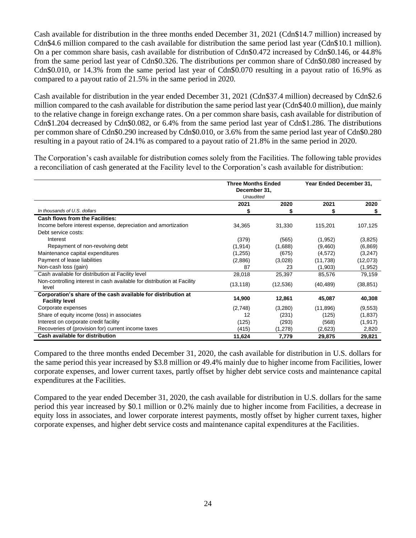Cash available for distribution in the three months ended December 31, 2021 (Cdn\$14.7 million) increased by Cdn\$4.6 million compared to the cash available for distribution the same period last year (Cdn\$10.1 million). On a per common share basis, cash available for distribution of Cdn\$0.472 increased by Cdn\$0.146, or 44.8% from the same period last year of Cdn\$0.326. The distributions per common share of Cdn\$0.080 increased by Cdn\$0.010, or 14.3% from the same period last year of Cdn\$0.070 resulting in a payout ratio of 16.9% as compared to a payout ratio of 21.5% in the same period in 2020.

Cash available for distribution in the year ended December 31, 2021 (Cdn\$37.4 million) decreased by Cdn\$2.6 million compared to the cash available for distribution the same period last year (Cdn\$40.0 million), due mainly to the relative change in foreign exchange rates. On a per common share basis, cash available for distribution of Cdn\$1.204 decreased by Cdn\$0.082, or 6.4% from the same period last year of Cdn\$1.286. The distributions per common share of Cdn\$0.290 increased by Cdn\$0.010, or 3.6% from the same period last year of Cdn\$0.280 resulting in a payout ratio of 24.1% as compared to a payout ratio of 21.8% in the same period in 2020.

The Corporation's cash available for distribution comes solely from the Facilities. The following table provides a reconciliation of cash generated at the Facility level to the Corporation's cash available for distribution:

|                                                                                        | <b>Three Months Ended</b><br>December 31, |           | Year Ended December 31, |           |
|----------------------------------------------------------------------------------------|-------------------------------------------|-----------|-------------------------|-----------|
|                                                                                        | <b>Unaudited</b>                          |           |                         |           |
|                                                                                        | 2021                                      | 2020      | 2021                    | 2020      |
| In thousands of U.S. dollars                                                           | S                                         | S         | S                       | S         |
| <b>Cash flows from the Facilities:</b>                                                 |                                           |           |                         |           |
| Income before interest expense, depreciation and amortization                          | 34,365                                    | 31,330    | 115,201                 | 107,125   |
| Debt service costs:                                                                    |                                           |           |                         |           |
| Interest                                                                               | (379)                                     | (565)     | (1,952)                 | (3,825)   |
| Repayment of non-revolving debt                                                        | (1, 914)                                  | (1,688)   | (9,460)                 | (6, 869)  |
| Maintenance capital expenditures                                                       | (1,255)                                   | (675)     | (4, 572)                | (3,247)   |
| Payment of lease liabilities                                                           | (2,886)                                   | (3,028)   | (11, 738)               | (12,073)  |
| Non-cash loss (gain)                                                                   | 87                                        | 23        | (1,903)                 | (1,952)   |
| Cash available for distribution at Facility level                                      | 28,018                                    | 25,397    | 85,576                  | 79,159    |
| Non-controlling interest in cash available for distribution at Facility<br>level       | (13, 118)                                 | (12, 536) | (40, 489)               | (38, 851) |
| Corporation's share of the cash available for distribution at<br><b>Facility level</b> | 14,900                                    | 12,861    | 45,087                  | 40,308    |
| Corporate expenses                                                                     | (2,748)                                   | (3,280)   | (11, 896)               | (9,553)   |
| Share of equity income (loss) in associates                                            | 12                                        | (231)     | (125)                   | (1,837)   |
| Interest on corporate credit facility                                                  | (125)                                     | (293)     | (568)                   | (1, 917)  |
| Recoveries of (provision for) current income taxes                                     | (415)                                     | (1,278)   | (2,623)                 | 2,820     |
| Cash available for distribution                                                        | 11,624                                    | 7,779     | 29,875                  | 29,821    |

Compared to the three months ended December 31, 2020, the cash available for distribution in U.S. dollars for the same period this year increased by \$3.8 million or 49.4% mainly due to higher income from Facilities, lower corporate expenses, and lower current taxes, partly offset by higher debt service costs and maintenance capital expenditures at the Facilities.

Compared to the year ended December 31, 2020, the cash available for distribution in U.S. dollars for the same period this year increased by \$0.1 million or 0.2% mainly due to higher income from Facilities, a decrease in equity loss in associates, and lower corporate interest payments, mostly offset by higher current taxes, higher corporate expenses, and higher debt service costs and maintenance capital expenditures at the Facilities.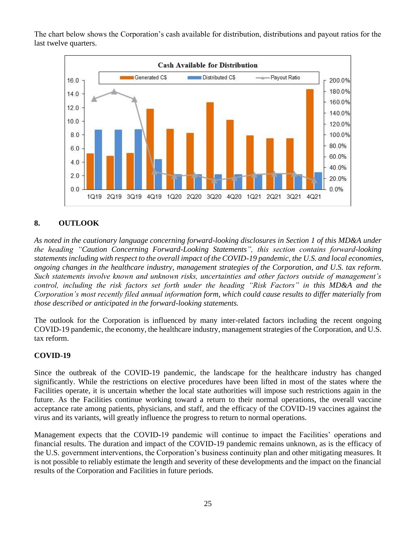The chart below shows the Corporation's cash available for distribution, distributions and payout ratios for the last twelve quarters.



# <span id="page-24-0"></span>**8. OUTLOOK**

*As noted in the cautionary language concerning forward-looking disclosures in Section 1 of this MD&A under the heading "Caution Concerning Forward-Looking Statements", this section contains forward-looking statements including with respect to the overall impact of the COVID-19 pandemic, the U.S. and local economies, ongoing changes in the healthcare industry, management strategies of the Corporation, and U.S. tax reform. Such statements involve known and unknown risks, uncertainties and other factors outside of management's control, including the risk factors set forth under the heading "Risk Factors" in this MD&A and the Corporation's most recently filed annual information form, which could cause results to differ materially from those described or anticipated in the forward-looking statements.*

The outlook for the Corporation is influenced by many inter-related factors including the recent ongoing COVID-19 pandemic, the economy, the healthcare industry, management strategies of the Corporation, and U.S. tax reform.

## **COVID-19**

Since the outbreak of the COVID-19 pandemic, the landscape for the healthcare industry has changed significantly. While the restrictions on elective procedures have been lifted in most of the states where the Facilities operate, it is uncertain whether the local state authorities will impose such restrictions again in the future. As the Facilities continue working toward a return to their normal operations, the overall vaccine acceptance rate among patients, physicians, and staff, and the efficacy of the COVID-19 vaccines against the virus and its variants, will greatly influence the progress to return to normal operations.

Management expects that the COVID-19 pandemic will continue to impact the Facilities' operations and financial results. The duration and impact of the COVID-19 pandemic remains unknown, as is the efficacy of the U.S. government interventions, the Corporation's business continuity plan and other mitigating measures. It is not possible to reliably estimate the length and severity of these developments and the impact on the financial results of the Corporation and Facilities in future periods.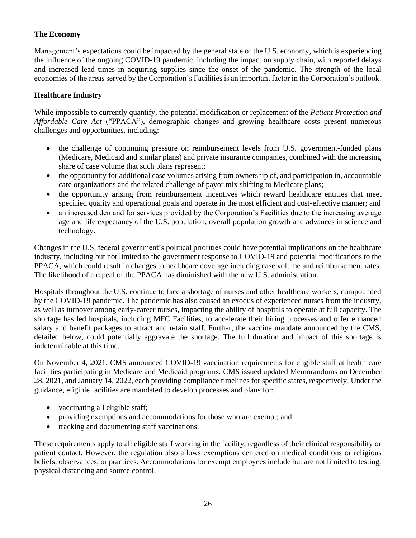# **The Economy**

Management's expectations could be impacted by the general state of the U.S. economy, which is experiencing the influence of the ongoing COVID-19 pandemic, including the impact on supply chain, with reported delays and increased lead times in acquiring supplies since the onset of the pandemic. The strength of the local economies of the areas served by the Corporation's Facilities is an important factor in the Corporation's outlook.

# **Healthcare Industry**

While impossible to currently quantify, the potential modification or replacement of the *Patient Protection and Affordable Care Act* ("PPACA"), demographic changes and growing healthcare costs present numerous challenges and opportunities, including:

- the challenge of continuing pressure on reimbursement levels from U.S. government-funded plans (Medicare, Medicaid and similar plans) and private insurance companies, combined with the increasing share of case volume that such plans represent;
- the opportunity for additional case volumes arising from ownership of, and participation in, accountable care organizations and the related challenge of payor mix shifting to Medicare plans;
- the opportunity arising from reimbursement incentives which reward healthcare entities that meet specified quality and operational goals and operate in the most efficient and cost-effective manner; and
- an increased demand for services provided by the Corporation's Facilities due to the increasing average age and life expectancy of the U.S. population, overall population growth and advances in science and technology.

Changes in the U.S. federal government's political priorities could have potential implications on the healthcare industry, including but not limited to the government response to COVID-19 and potential modifications to the PPACA, which could result in changes to healthcare coverage including case volume and reimbursement rates. The likelihood of a repeal of the PPACA has diminished with the new U.S. administration.

Hospitals throughout the U.S. continue to face a shortage of nurses and other healthcare workers, compounded by the COVID-19 pandemic. The pandemic has also caused an exodus of experienced nurses from the industry, as well as turnover among early-career nurses, impacting the ability of hospitals to operate at full capacity. The shortage has led hospitals, including MFC Facilities, to accelerate their hiring processes and offer enhanced salary and benefit packages to attract and retain staff. Further, the vaccine mandate announced by the CMS, detailed below, could potentially aggravate the shortage. The full duration and impact of this shortage is indeterminable at this time.

On November 4, 2021, CMS announced COVID-19 vaccination requirements for eligible staff at health care facilities participating in Medicare and Medicaid programs. CMS issued updated Memorandums on December 28, 2021, and January 14, 2022, each providing compliance timelines for specific states, respectively. Under the guidance, eligible facilities are mandated to develop processes and plans for:

- vaccinating all eligible staff;
- providing exemptions and accommodations for those who are exempt; and
- tracking and documenting staff vaccinations.

These requirements apply to all eligible staff working in the facility, regardless of their clinical responsibility or patient contact. However, the regulation also allows exemptions centered on medical conditions or religious beliefs, observances, or practices. Accommodations for exempt employees include but are not limited to testing, physical distancing and source control.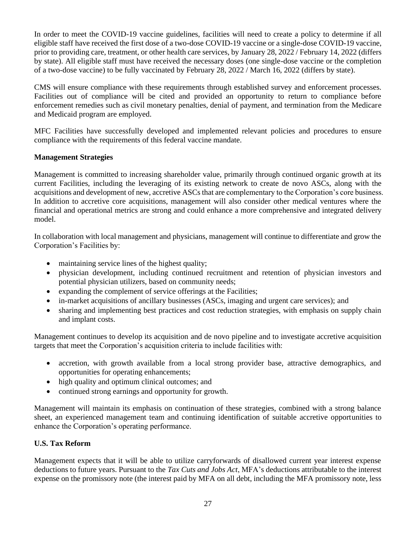In order to meet the COVID-19 vaccine guidelines, facilities will need to create a policy to determine if all eligible staff have received the first dose of a two-dose COVID-19 vaccine or a single-dose COVID-19 vaccine, prior to providing care, treatment, or other health care services, by January 28, 2022 / February 14, 2022 (differs by state). All eligible staff must have received the necessary doses (one single-dose vaccine or the completion of a two-dose vaccine) to be fully vaccinated by February 28, 2022 / March 16, 2022 (differs by state).

CMS will ensure compliance with these requirements through established survey and enforcement processes. Facilities out of compliance will be cited and provided an opportunity to return to compliance before enforcement remedies such as civil monetary penalties, denial of payment, and termination from the Medicare and Medicaid program are employed.

MFC Facilities have successfully developed and implemented relevant policies and procedures to ensure compliance with the requirements of this federal vaccine mandate.

## **Management Strategies**

Management is committed to increasing shareholder value, primarily through continued organic growth at its current Facilities, including the leveraging of its existing network to create de novo ASCs, along with the acquisitions and development of new, accretive ASCs that are complementary to the Corporation's core business. In addition to accretive core acquisitions, management will also consider other medical ventures where the financial and operational metrics are strong and could enhance a more comprehensive and integrated delivery model.

In collaboration with local management and physicians, management will continue to differentiate and grow the Corporation's Facilities by:

- maintaining service lines of the highest quality;
- physician development, including continued recruitment and retention of physician investors and potential physician utilizers, based on community needs;
- expanding the complement of service offerings at the Facilities;
- in-market acquisitions of ancillary businesses (ASCs, imaging and urgent care services); and
- sharing and implementing best practices and cost reduction strategies, with emphasis on supply chain and implant costs.

Management continues to develop its acquisition and de novo pipeline and to investigate accretive acquisition targets that meet the Corporation's acquisition criteria to include facilities with:

- accretion, with growth available from a local strong provider base, attractive demographics, and opportunities for operating enhancements;
- high quality and optimum clinical outcomes; and
- continued strong earnings and opportunity for growth.

Management will maintain its emphasis on continuation of these strategies, combined with a strong balance sheet, an experienced management team and continuing identification of suitable accretive opportunities to enhance the Corporation's operating performance.

# **U.S. Tax Reform**

Management expects that it will be able to utilize carryforwards of disallowed current year interest expense deductions to future years. Pursuant to the *Tax Cuts and Jobs Act*, MFA's deductions attributable to the interest expense on the promissory note (the interest paid by MFA on all debt, including the MFA promissory note, less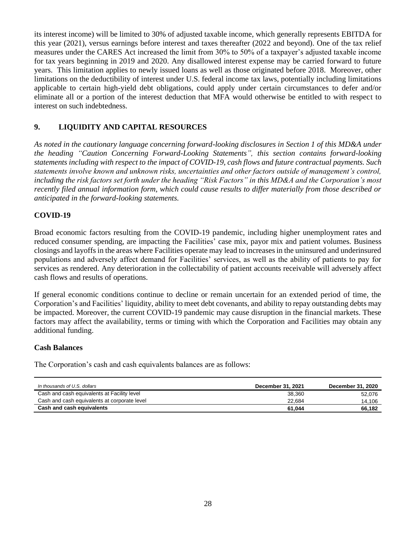its interest income) will be limited to 30% of adjusted taxable income, which generally represents EBITDA for this year (2021), versus earnings before interest and taxes thereafter (2022 and beyond). One of the tax relief measures under the CARES Act increased the limit from 30% to 50% of a taxpayer's adjusted taxable income for tax years beginning in 2019 and 2020. Any disallowed interest expense may be carried forward to future years. This limitation applies to newly issued loans as well as those originated before 2018. Moreover, other limitations on the deductibility of interest under U.S. federal income tax laws, potentially including limitations applicable to certain high-yield debt obligations, could apply under certain circumstances to defer and/or eliminate all or a portion of the interest deduction that MFA would otherwise be entitled to with respect to interest on such indebtedness.

# <span id="page-27-0"></span>**9. LIQUIDITY AND CAPITAL RESOURCES**

*As noted in the cautionary language concerning forward-looking disclosures in Section 1 of this MD&A under the heading "Caution Concerning Forward-Looking Statements", this section contains forward-looking statements including with respect to the impact of COVID-19, cash flows and future contractual payments. Such statements involve known and unknown risks, uncertainties and other factors outside of management's control, including the risk factors set forth under the heading "Risk Factors" in this MD&A and the Corporation's most recently filed annual information form, which could cause results to differ materially from those described or anticipated in the forward-looking statements.*

## **COVID-19**

Broad economic factors resulting from the COVID-19 pandemic, including higher unemployment rates and reduced consumer spending, are impacting the Facilities' case mix, payor mix and patient volumes. Business closings and layoffs in the areas where Facilities operate may lead to increases in the uninsured and underinsured populations and adversely affect demand for Facilities' services, as well as the ability of patients to pay for services as rendered. Any deterioration in the collectability of patient accounts receivable will adversely affect cash flows and results of operations.

If general economic conditions continue to decline or remain uncertain for an extended period of time, the Corporation's and Facilities' liquidity, ability to meet debt covenants, and ability to repay outstanding debts may be impacted. Moreover, the current COVID-19 pandemic may cause disruption in the financial markets. These factors may affect the availability, terms or timing with which the Corporation and Facilities may obtain any additional funding.

## **Cash Balances**

The Corporation's cash and cash equivalents balances are as follows:

| In thousands of U.S. dollars                 | December 31, 2021 | December 31, 2020 |
|----------------------------------------------|-------------------|-------------------|
| Cash and cash equivalents at Facility level  | 38.360            | 52.076            |
| Cash and cash equivalents at corporate level | 22.684            | 14.106            |
| Cash and cash equivalents                    | 61.044            | 66.182            |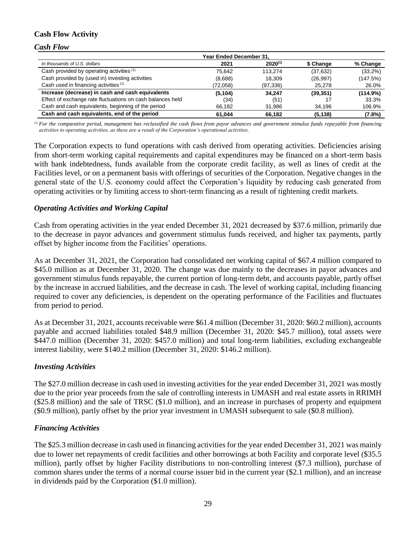## **Cash Flow Activity**

*Cash Flow*

|                                                            | Year Ended December 31. |              |           |            |  |  |
|------------------------------------------------------------|-------------------------|--------------|-----------|------------|--|--|
| In thousands of U.S. dollars                               | 2021                    | $2020^{(1)}$ | \$ Change | % Change   |  |  |
| Cash provided by operating activities (1)                  | 75.642                  | 113.274      | (37, 632) | $(33.2\%)$ |  |  |
| Cash provided by (used in) investing activities            | (8,688)                 | 18.309       | (26, 997) | (147.5%)   |  |  |
| Cash used in financing activities (1)                      | (72,058)                | (97, 336)    | 25,278    | 26.0%      |  |  |
| Increase (decrease) in cash and cash equivalents           | (5, 104)                | 34.247       | (39, 351) | (114.9%)   |  |  |
| Effect of exchange rate fluctuations on cash balances held | (34)                    | (51)         |           | 33.3%      |  |  |
| Cash and cash equivalents, beginning of the period         | 66.182                  | 31.986       | 34,196    | 106.9%     |  |  |
| Cash and cash equivalents, end of the period               | 61.044                  | 66.182       | (5, 138)  | (7.8%)     |  |  |

*(1) For the comparative period, management has reclassified the cash flows from payor advances and government stimulus funds repayable from financing activities to operating activities, as these are a result of the Corporation's operational activities.*

The Corporation expects to fund operations with cash derived from operating activities. Deficiencies arising from short-term working capital requirements and capital expenditures may be financed on a short-term basis with bank indebtedness, funds available from the corporate credit facility, as well as lines of credit at the Facilities level, or on a permanent basis with offerings of securities of the Corporation. Negative changes in the general state of the U.S. economy could affect the Corporation's liquidity by reducing cash generated from operating activities or by limiting access to short‐term financing as a result of tightening credit markets*.*

## *Operating Activities and Working Capital*

Cash from operating activities in the year ended December 31, 2021 decreased by \$37.6 million, primarily due to the decrease in payor advances and government stimulus funds received, and higher tax payments, partly offset by higher income from the Facilities' operations.

As at December 31, 2021, the Corporation had consolidated net working capital of \$67.4 million compared to \$45.0 million as at December 31, 2020. The change was due mainly to the decreases in payor advances and government stimulus funds repayable, the current portion of long-term debt, and accounts payable, partly offset by the increase in accrued liabilities, and the decrease in cash. The level of working capital, including financing required to cover any deficiencies, is dependent on the operating performance of the Facilities and fluctuates from period to period.

As at December 31, 2021, accounts receivable were \$61.4 million (December 31, 2020: \$60.2 million), accounts payable and accrued liabilities totaled \$48.9 million (December 31, 2020: \$45.7 million), total assets were \$447.0 million (December 31, 2020: \$457.0 million) and total long-term liabilities, excluding exchangeable interest liability, were \$140.2 million (December 31, 2020: \$146.2 million).

## *Investing Activities*

The \$27.0 million decrease in cash used in investing activities for the year ended December 31, 2021 was mostly due to the prior year proceeds from the sale of controlling interests in UMASH and real estate assets in RRIMH (\$25.8 million) and the sale of TRSC (\$1.0 million), and an increase in purchases of property and equipment (\$0.9 million), partly offset by the prior year investment in UMASH subsequent to sale (\$0.8 million).

#### *Financing Activities*

The \$25.3 million decrease in cash used in financing activities for the year ended December 31, 2021 was mainly due to lower net repayments of credit facilities and other borrowings at both Facility and corporate level (\$35.5 million), partly offset by higher Facility distributions to non-controlling interest (\$7.3 million), purchase of common shares under the terms of a normal course issuer bid in the current year (\$2.1 million), and an increase in dividends paid by the Corporation (\$1.0 million).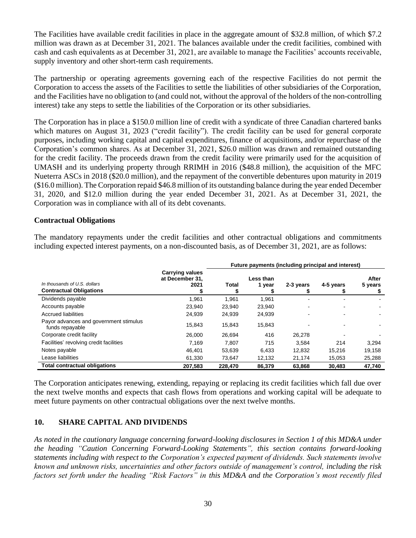The Facilities have available credit facilities in place in the aggregate amount of \$32.8 million, of which \$7.2 million was drawn as at December 31, 2021. The balances available under the credit facilities, combined with cash and cash equivalents as at December 31, 2021, are available to manage the Facilities' accounts receivable, supply inventory and other short-term cash requirements.

The partnership or operating agreements governing each of the respective Facilities do not permit the Corporation to access the assets of the Facilities to settle the liabilities of other subsidiaries of the Corporation, and the Facilities have no obligation to (and could not, without the approval of the holders of the non-controlling interest) take any steps to settle the liabilities of the Corporation or its other subsidiaries.

The Corporation has in place a \$150.0 million line of credit with a syndicate of three Canadian chartered banks which matures on August 31, 2023 ("credit facility"). The credit facility can be used for general corporate purposes, including working capital and capital expenditures, finance of acquisitions, and/or repurchase of the Corporation's common shares. As at December 31, 2021, \$26.0 million was drawn and remained outstanding for the credit facility. The proceeds drawn from the credit facility were primarily used for the acquisition of UMASH and its underlying property through RRIMH in 2016 (\$48.8 million), the acquisition of the MFC Nueterra ASCs in 2018 (\$20.0 million), and the repayment of the convertible debentures upon maturity in 2019 (\$16.0 million). The Corporation repaid \$46.8 million of its outstanding balance during the year ended December 31, 2020, and \$12.0 million during the year ended December 31, 2021. As at December 31, 2021, the Corporation was in compliance with all of its debt covenants.

#### **Contractual Obligations**

The mandatory repayments under the credit facilities and other contractual obligations and commitments including expected interest payments, on a non-discounted basis, as of December 31, 2021, are as follows:

|                                                                | Future payments (including principal and interest) |         |                     |           |           |                  |  |
|----------------------------------------------------------------|----------------------------------------------------|---------|---------------------|-----------|-----------|------------------|--|
| In thousands of U.S. dollars<br><b>Contractual Obligations</b> | <b>Carrying values</b><br>at December 31,<br>2021  | Total   | Less than<br>1 year | 2-3 years | 4-5 years | After<br>5 years |  |
| Dividends payable                                              | 1,961                                              | 1,961   | 1,961               |           |           |                  |  |
| Accounts payable                                               | 23,940                                             | 23,940  | 23,940              |           |           |                  |  |
| <b>Accrued liabilities</b>                                     | 24,939                                             | 24,939  | 24,939              |           |           |                  |  |
| Payor advances and government stimulus<br>funds repayable      | 15,843                                             | 15,843  | 15,843              |           |           |                  |  |
| Corporate credit facility                                      | 26,000                                             | 26.694  | 416                 | 26.278    |           |                  |  |
| Facilities' revolving credit facilities                        | 7,169                                              | 7.807   | 715                 | 3,584     | 214       | 3,294            |  |
| Notes payable                                                  | 46.401                                             | 53,639  | 6,433               | 12,832    | 15,216    | 19,158           |  |
| Lease liabilities                                              | 61.330                                             | 73.647  | 12,132              | 21,174    | 15.053    | 25,288           |  |
| <b>Total contractual obligations</b>                           | 207,583                                            | 228,470 | 86,379              | 63,868    | 30,483    | 47,740           |  |

The Corporation anticipates renewing, extending, repaying or replacing its credit facilities which fall due over the next twelve months and expects that cash flows from operations and working capital will be adequate to meet future payments on other contractual obligations over the next twelve months.

## <span id="page-29-0"></span>**10. SHARE CAPITAL AND DIVIDENDS**

*As noted in the cautionary language concerning forward-looking disclosures in Section 1 of this MD&A under the heading "Caution Concerning Forward-Looking Statements", this section contains forward-looking statements including with respect to the Corporation's expected payment of dividends. Such statements involve known and unknown risks, uncertainties and other factors outside of management's control, including the risk factors set forth under the heading "Risk Factors" in this MD&A and the Corporation's most recently filed*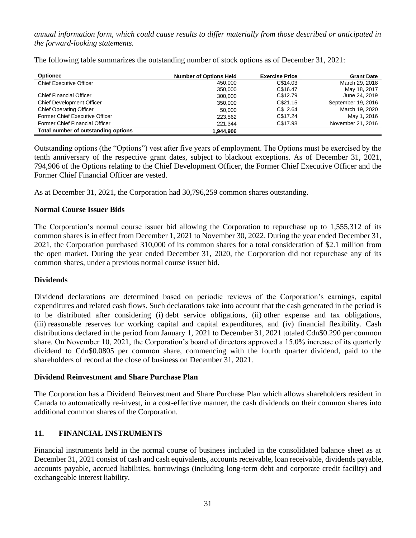*annual information form, which could cause results to differ materially from those described or anticipated in the forward-looking statements.*

| <b>Optionee</b>                     | <b>Number of Options Held</b> | <b>Exercise Price</b> | <b>Grant Date</b>  |
|-------------------------------------|-------------------------------|-----------------------|--------------------|
| <b>Chief Executive Officer</b>      | 450.000                       | C\$14.03              | March 29, 2018     |
|                                     | 350,000                       | C\$16.47              | May 18, 2017       |
| Chief Financial Officer             | 300,000                       | C\$12.79              | June 24, 2019      |
| <b>Chief Development Officer</b>    | 350.000                       | C\$21.15              | September 19, 2016 |
| <b>Chief Operating Officer</b>      | 50.000                        | C\$ 2.64              | March 19, 2020     |
| Former Chief Executive Officer      | 223,562                       | C\$17.24              | May 1, 2016        |
| Former Chief Financial Officer      | 221.344                       | C\$17.98              | November 21, 2016  |
| Total number of outstanding options | 1.944.906                     |                       |                    |

The following table summarizes the outstanding number of stock options as of December 31, 2021:

Outstanding options (the "Options") vest after five years of employment. The Options must be exercised by the tenth anniversary of the respective grant dates, subject to blackout exceptions. As of December 31, 2021, 794,906 of the Options relating to the Chief Development Officer, the Former Chief Executive Officer and the Former Chief Financial Officer are vested.

As at December 31, 2021, the Corporation had 30,796,259 common shares outstanding.

## **Normal Course Issuer Bids**

The Corporation's normal course issuer bid allowing the Corporation to repurchase up to 1,555,312 of its common shares is in effect from December 1, 2021 to November 30, 2022. During the year ended December 31, 2021, the Corporation purchased 310,000 of its common shares for a total consideration of \$2.1 million from the open market. During the year ended December 31, 2020, the Corporation did not repurchase any of its common shares, under a previous normal course issuer bid.

## **Dividends**

Dividend declarations are determined based on periodic reviews of the Corporation's earnings, capital expenditures and related cash flows. Such declarations take into account that the cash generated in the period is to be distributed after considering (i) debt service obligations, (ii) other expense and tax obligations, (iii) reasonable reserves for working capital and capital expenditures, and (iv) financial flexibility. Cash distributions declared in the period from January 1, 2021 to December 31, 2021 totaled Cdn\$0.290 per common share. On November 10, 2021, the Corporation's board of directors approved a 15.0% increase of its quarterly dividend to Cdn\$0.0805 per common share, commencing with the fourth quarter dividend, paid to the shareholders of record at the close of business on December 31, 2021.

## **Dividend Reinvestment and Share Purchase Plan**

The Corporation has a Dividend Reinvestment and Share Purchase Plan which allows shareholders resident in Canada to automatically re-invest, in a cost-effective manner, the cash dividends on their common shares into additional common shares of the Corporation.

# <span id="page-30-0"></span>**11. FINANCIAL INSTRUMENTS**

Financial instruments held in the normal course of business included in the consolidated balance sheet as at December 31, 2021 consist of cash and cash equivalents, accounts receivable, loan receivable, dividends payable, accounts payable, accrued liabilities, borrowings (including long‐term debt and corporate credit facility) and exchangeable interest liability.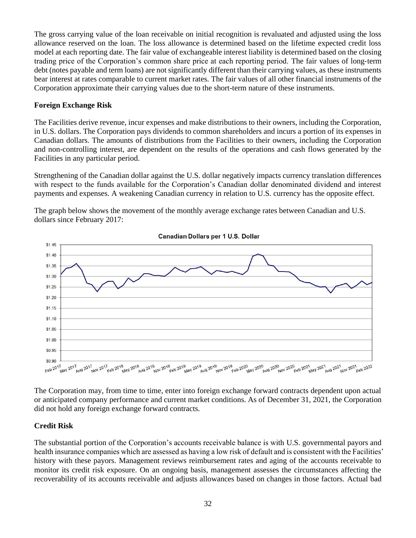The gross carrying value of the loan receivable on initial recognition is revaluated and adjusted using the loss allowance reserved on the loan. The loss allowance is determined based on the lifetime expected credit loss model at each reporting date. The fair value of exchangeable interest liability is determined based on the closing trading price of the Corporation's common share price at each reporting period. The fair values of long‐term debt (notes payable and term loans) are not significantly different than their carrying values, as these instruments bear interest at rates comparable to current market rates. The fair values of all other financial instruments of the Corporation approximate their carrying values due to the short-term nature of these instruments.

#### **Foreign Exchange Risk**

The Facilities derive revenue, incur expenses and make distributions to their owners, including the Corporation, in U.S. dollars. The Corporation pays dividends to common shareholders and incurs a portion of its expenses in Canadian dollars. The amounts of distributions from the Facilities to their owners, including the Corporation and non-controlling interest, are dependent on the results of the operations and cash flows generated by the Facilities in any particular period.

Strengthening of the Canadian dollar against the U.S. dollar negatively impacts currency translation differences with respect to the funds available for the Corporation's Canadian dollar denominated dividend and interest payments and expenses. A weakening Canadian currency in relation to U.S. currency has the opposite effect.



The graph below shows the movement of the monthly average exchange rates between Canadian and U.S. dollars since February 2017:

The Corporation may, from time to time, enter into foreign exchange forward contracts dependent upon actual or anticipated company performance and current market conditions. As of December 31, 2021, the Corporation did not hold any foreign exchange forward contracts.

## **Credit Risk**

The substantial portion of the Corporation's accounts receivable balance is with U.S. governmental payors and health insurance companies which are assessed as having a low risk of default and is consistent with the Facilities' history with these payors. Management reviews reimbursement rates and aging of the accounts receivable to monitor its credit risk exposure. On an ongoing basis, management assesses the circumstances affecting the recoverability of its accounts receivable and adjusts allowances based on changes in those factors. Actual bad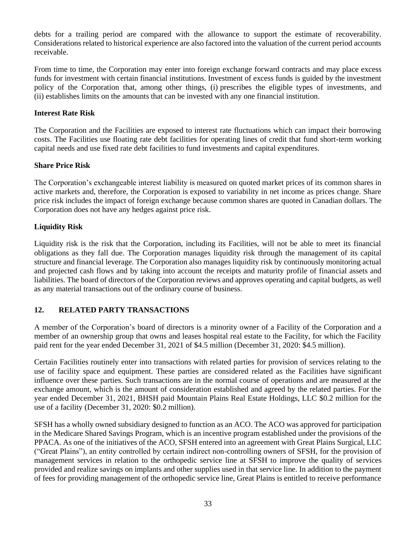debts for a trailing period are compared with the allowance to support the estimate of recoverability. Considerations related to historical experience are also factored into the valuation of the current period accounts receivable.

From time to time, the Corporation may enter into foreign exchange forward contracts and may place excess funds for investment with certain financial institutions. Investment of excess funds is guided by the investment policy of the Corporation that, among other things, (i) prescribes the eligible types of investments, and (ii) establishes limits on the amounts that can be invested with any one financial institution.

#### **Interest Rate Risk**

The Corporation and the Facilities are exposed to interest rate fluctuations which can impact their borrowing costs. The Facilities use floating rate debt facilities for operating lines of credit that fund short-term working capital needs and use fixed rate debt facilities to fund investments and capital expenditures.

#### **Share Price Risk**

The Corporation's exchangeable interest liability is measured on quoted market prices of its common shares in active markets and, therefore, the Corporation is exposed to variability in net income as prices change. Share price risk includes the impact of foreign exchange because common shares are quoted in Canadian dollars. The Corporation does not have any hedges against price risk.

## **Liquidity Risk**

Liquidity risk is the risk that the Corporation, including its Facilities, will not be able to meet its financial obligations as they fall due. The Corporation manages liquidity risk through the management of its capital structure and financial leverage. The Corporation also manages liquidity risk by continuously monitoring actual and projected cash flows and by taking into account the receipts and maturity profile of financial assets and liabilities. The board of directors of the Corporation reviews and approves operating and capital budgets, as well as any material transactions out of the ordinary course of business.

# <span id="page-32-0"></span>**12. RELATED PARTY TRANSACTIONS**

A member of the Corporation's board of directors is a minority owner of a Facility of the Corporation and a member of an ownership group that owns and leases hospital real estate to the Facility, for which the Facility paid rent for the year ended December 31, 2021 of \$4.5 million (December 31, 2020: \$4.5 million).

Certain Facilities routinely enter into transactions with related parties for provision of services relating to the use of facility space and equipment. These parties are considered related as the Facilities have significant influence over these parties. Such transactions are in the normal course of operations and are measured at the exchange amount, which is the amount of consideration established and agreed by the related parties. For the year ended December 31, 2021, BHSH paid Mountain Plains Real Estate Holdings, LLC \$0.2 million for the use of a facility (December 31, 2020: \$0.2 million).

SFSH has a wholly owned subsidiary designed to function as an ACO. The ACO was approved for participation in the Medicare Shared Savings Program, which is an incentive program established under the provisions of the PPACA. As one of the initiatives of the ACO, SFSH entered into an agreement with Great Plains Surgical, LLC ("Great Plains"), an entity controlled by certain indirect non-controlling owners of SFSH, for the provision of management services in relation to the orthopedic service line at SFSH to improve the quality of services provided and realize savings on implants and other supplies used in that service line. In addition to the payment of fees for providing management of the orthopedic service line, Great Plains is entitled to receive performance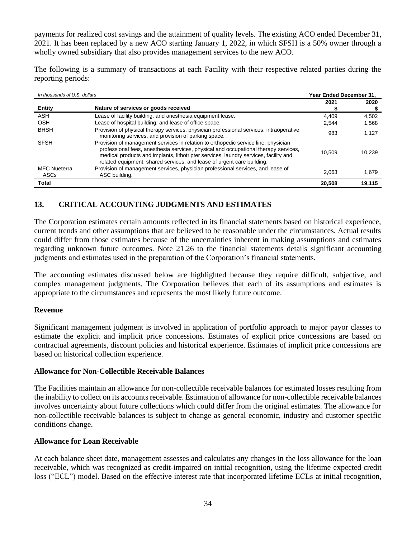payments for realized cost savings and the attainment of quality levels. The existing ACO ended December 31, 2021. It has been replaced by a new ACO starting January 1, 2022, in which SFSH is a 50% owner through a wholly owned subsidiary that also provides management services to the new ACO.

The following is a summary of transactions at each Facility with their respective related parties during the reporting periods:

| In thousands of U.S. dollars |                                                                                                                                                                                                                                                                                                                                             | Year Ended December 31. |        |
|------------------------------|---------------------------------------------------------------------------------------------------------------------------------------------------------------------------------------------------------------------------------------------------------------------------------------------------------------------------------------------|-------------------------|--------|
| <b>Entity</b>                | Nature of services or goods received                                                                                                                                                                                                                                                                                                        | 2021                    | 2020   |
| ASH                          | Lease of facility building, and anesthesia equipment lease.                                                                                                                                                                                                                                                                                 | 4.409                   | 4,502  |
| OSH                          | Lease of hospital building, and lease of office space.                                                                                                                                                                                                                                                                                      | 2.544                   | 1,568  |
| <b>BHSH</b>                  | Provision of physical therapy services, physician professional services, intraoperative<br>monitoring services, and provision of parking space.                                                                                                                                                                                             | 983                     | 1,127  |
| <b>SFSH</b>                  | Provision of management services in relation to orthopedic service line, physician<br>professional fees, anesthesia services, physical and occupational therapy services,<br>medical products and implants, lithotripter services, laundry services, facility and<br>related equipment, shared services, and lease of urgent care building. | 10.509                  | 10.239 |
| <b>MFC Nueterra</b><br>ASCs  | Provision of management services, physician professional services, and lease of<br>ASC building.                                                                                                                                                                                                                                            | 2.063                   | 1,679  |
| Total                        |                                                                                                                                                                                                                                                                                                                                             | 20,508                  | 19,115 |

## <span id="page-33-0"></span>**13. CRITICAL ACCOUNTING JUDGMENTS AND ESTIMATES**

The Corporation estimates certain amounts reflected in its financial statements based on historical experience, current trends and other assumptions that are believed to be reasonable under the circumstances. Actual results could differ from those estimates because of the uncertainties inherent in making assumptions and estimates regarding unknown future outcomes. Note 21.26 to the financial statements details significant accounting judgments and estimates used in the preparation of the Corporation's financial statements.

The accounting estimates discussed below are highlighted because they require difficult, subjective, and complex management judgments. The Corporation believes that each of its assumptions and estimates is appropriate to the circumstances and represents the most likely future outcome.

## **Revenue**

Significant management judgment is involved in application of portfolio approach to major payor classes to estimate the explicit and implicit price concessions. Estimates of explicit price concessions are based on contractual agreements, discount policies and historical experience. Estimates of implicit price concessions are based on historical collection experience.

## **Allowance for Non-Collectible Receivable Balances**

The Facilities maintain an allowance for non-collectible receivable balances for estimated losses resulting from the inability to collect on its accounts receivable. Estimation of allowance for non-collectible receivable balances involves uncertainty about future collections which could differ from the original estimates. The allowance for non-collectible receivable balances is subject to change as general economic, industry and customer specific conditions change.

## **Allowance for Loan Receivable**

At each balance sheet date, management assesses and calculates any changes in the loss allowance for the loan receivable, which was recognized as credit-impaired on initial recognition, using the lifetime expected credit loss ("ECL") model. Based on the effective interest rate that incorporated lifetime ECLs at initial recognition,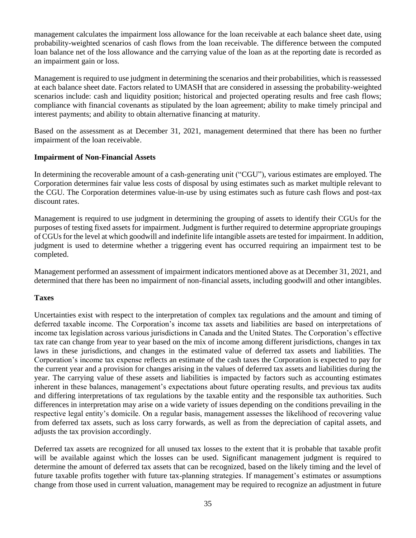management calculates the impairment loss allowance for the loan receivable at each balance sheet date, using probability-weighted scenarios of cash flows from the loan receivable. The difference between the computed loan balance net of the loss allowance and the carrying value of the loan as at the reporting date is recorded as an impairment gain or loss.

Management is required to use judgment in determining the scenarios and their probabilities, which is reassessed at each balance sheet date. Factors related to UMASH that are considered in assessing the probability-weighted scenarios include: cash and liquidity position; historical and projected operating results and free cash flows; compliance with financial covenants as stipulated by the loan agreement; ability to make timely principal and interest payments; and ability to obtain alternative financing at maturity.

Based on the assessment as at December 31, 2021, management determined that there has been no further impairment of the loan receivable.

## **Impairment of Non-Financial Assets**

In determining the recoverable amount of a cash-generating unit ("CGU"), various estimates are employed. The Corporation determines fair value less costs of disposal by using estimates such as market multiple relevant to the CGU. The Corporation determines value-in-use by using estimates such as future cash flows and post-tax discount rates.

Management is required to use judgment in determining the grouping of assets to identify their CGUs for the purposes of testing fixed assets for impairment. Judgment is further required to determine appropriate groupings of CGUs for the level at which goodwill and indefinite life intangible assets are tested for impairment. In addition, judgment is used to determine whether a triggering event has occurred requiring an impairment test to be completed.

Management performed an assessment of impairment indicators mentioned above as at December 31, 2021, and determined that there has been no impairment of non-financial assets, including goodwill and other intangibles.

## **Taxes**

Uncertainties exist with respect to the interpretation of complex tax regulations and the amount and timing of deferred taxable income. The Corporation's income tax assets and liabilities are based on interpretations of income tax legislation across various jurisdictions in Canada and the United States. The Corporation's effective tax rate can change from year to year based on the mix of income among different jurisdictions, changes in tax laws in these jurisdictions, and changes in the estimated value of deferred tax assets and liabilities. The Corporation's income tax expense reflects an estimate of the cash taxes the Corporation is expected to pay for the current year and a provision for changes arising in the values of deferred tax assets and liabilities during the year. The carrying value of these assets and liabilities is impacted by factors such as accounting estimates inherent in these balances, management's expectations about future operating results, and previous tax audits and differing interpretations of tax regulations by the taxable entity and the responsible tax authorities. Such differences in interpretation may arise on a wide variety of issues depending on the conditions prevailing in the respective legal entity's domicile. On a regular basis, management assesses the likelihood of recovering value from deferred tax assets, such as loss carry forwards, as well as from the depreciation of capital assets, and adjusts the tax provision accordingly.

Deferred tax assets are recognized for all unused tax losses to the extent that it is probable that taxable profit will be available against which the losses can be used. Significant management judgment is required to determine the amount of deferred tax assets that can be recognized, based on the likely timing and the level of future taxable profits together with future tax-planning strategies. If management's estimates or assumptions change from those used in current valuation, management may be required to recognize an adjustment in future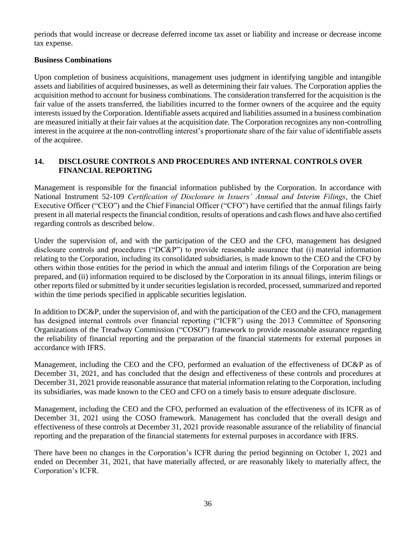periods that would increase or decrease deferred income tax asset or liability and increase or decrease income tax expense.

## **Business Combinations**

Upon completion of business acquisitions, management uses judgment in identifying tangible and intangible assets and liabilities of acquired businesses, as well as determining their fair values. The Corporation applies the acquisition method to account for business combinations. The consideration transferred for the acquisition is the fair value of the assets transferred, the liabilities incurred to the former owners of the acquiree and the equity interests issued by the Corporation. Identifiable assets acquired and liabilities assumed in a business combination are measured initially at their fair values at the acquisition date. The Corporation recognizes any non-controlling interest in the acquiree at the non-controlling interest's proportionate share of the fair value of identifiable assets of the acquiree.

## <span id="page-35-0"></span>**14. DISCLOSURE CONTROLS AND PROCEDURES AND INTERNAL CONTROLS OVER FINANCIAL REPORTING**

Management is responsible for the financial information published by the Corporation. In accordance with National Instrument 52-109 *Certification of Disclosure in Issuers' Annual and Interim Filings*, the Chief Executive Officer ("CEO") and the Chief Financial Officer ("CFO") have certified that the annual filings fairly present in all material respects the financial condition, results of operations and cash flows and have also certified regarding controls as described below.

Under the supervision of, and with the participation of the CEO and the CFO, management has designed disclosure controls and procedures ("DC&P") to provide reasonable assurance that (i) material information relating to the Corporation, including its consolidated subsidiaries, is made known to the CEO and the CFO by others within those entities for the period in which the annual and interim filings of the Corporation are being prepared, and (ii) information required to be disclosed by the Corporation in its annual filings, interim filings or other reports filed or submitted by it under securities legislation is recorded, processed, summarized and reported within the time periods specified in applicable securities legislation.

In addition to DC&P, under the supervision of, and with the participation of the CEO and the CFO, management has designed internal controls over financial reporting ("ICFR") using the 2013 Committee of Sponsoring Organizations of the Treadway Commission ("COSO") framework to provide reasonable assurance regarding the reliability of financial reporting and the preparation of the financial statements for external purposes in accordance with IFRS.

Management, including the CEO and the CFO, performed an evaluation of the effectiveness of DC&P as of December 31, 2021, and has concluded that the design and effectiveness of these controls and procedures at December 31, 2021 provide reasonable assurance that material information relating to the Corporation, including its subsidiaries, was made known to the CEO and CFO on a timely basis to ensure adequate disclosure.

Management, including the CEO and the CFO, performed an evaluation of the effectiveness of its ICFR as of December 31, 2021 using the COSO framework. Management has concluded that the overall design and effectiveness of these controls at December 31, 2021 provide reasonable assurance of the reliability of financial reporting and the preparation of the financial statements for external purposes in accordance with IFRS.

There have been no changes in the Corporation's ICFR during the period beginning on October 1, 2021 and ended on December 31, 2021, that have materially affected, or are reasonably likely to materially affect, the Corporation's ICFR.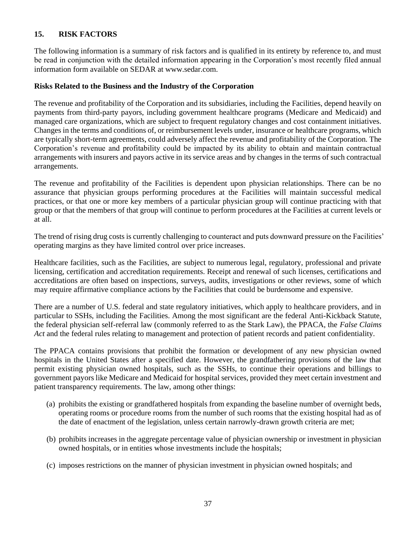## <span id="page-36-0"></span>**15. RISK FACTORS**

The following information is a summary of risk factors and is qualified in its entirety by reference to, and must be read in conjunction with the detailed information appearing in the Corporation's most recently filed annual information form available on SEDAR at www.sedar.com.

#### **Risks Related to the Business and the Industry of the Corporation**

The revenue and profitability of the Corporation and its subsidiaries, including the Facilities, depend heavily on payments from third-party payors, including government healthcare programs (Medicare and Medicaid) and managed care organizations, which are subject to frequent regulatory changes and cost containment initiatives. Changes in the terms and conditions of, or reimbursement levels under, insurance or healthcare programs, which are typically short-term agreements, could adversely affect the revenue and profitability of the Corporation. The Corporation's revenue and profitability could be impacted by its ability to obtain and maintain contractual arrangements with insurers and payors active in its service areas and by changes in the terms of such contractual arrangements.

The revenue and profitability of the Facilities is dependent upon physician relationships. There can be no assurance that physician groups performing procedures at the Facilities will maintain successful medical practices, or that one or more key members of a particular physician group will continue practicing with that group or that the members of that group will continue to perform procedures at the Facilities at current levels or at all.

The trend of rising drug costs is currently challenging to counteract and puts downward pressure on the Facilities' operating margins as they have limited control over price increases.

Healthcare facilities, such as the Facilities, are subject to numerous legal, regulatory, professional and private licensing, certification and accreditation requirements. Receipt and renewal of such licenses, certifications and accreditations are often based on inspections, surveys, audits, investigations or other reviews, some of which may require affirmative compliance actions by the Facilities that could be burdensome and expensive.

There are a number of U.S. federal and state regulatory initiatives, which apply to healthcare providers, and in particular to SSHs, including the Facilities. Among the most significant are the federal Anti-Kickback Statute, the federal physician self-referral law (commonly referred to as the Stark Law), the PPACA, the *False Claims Act* and the federal rules relating to management and protection of patient records and patient confidentiality.

The PPACA contains provisions that prohibit the formation or development of any new physician owned hospitals in the United States after a specified date. However, the grandfathering provisions of the law that permit existing physician owned hospitals, such as the SSHs, to continue their operations and billings to government payors like Medicare and Medicaid for hospital services, provided they meet certain investment and patient transparency requirements. The law, among other things:

- (a) prohibits the existing or grandfathered hospitals from expanding the baseline number of overnight beds, operating rooms or procedure rooms from the number of such rooms that the existing hospital had as of the date of enactment of the legislation, unless certain narrowly-drawn growth criteria are met;
- (b) prohibits increases in the aggregate percentage value of physician ownership or investment in physician owned hospitals, or in entities whose investments include the hospitals;
- (c) imposes restrictions on the manner of physician investment in physician owned hospitals; and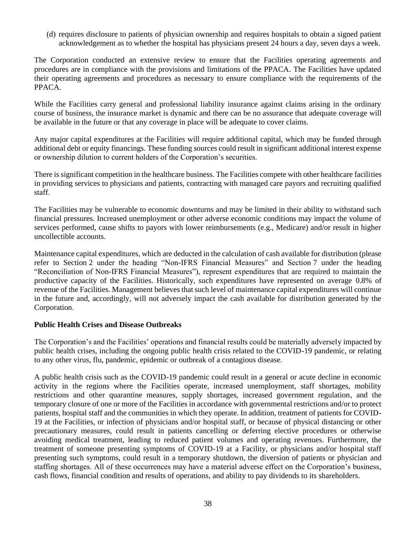(d) requires disclosure to patients of physician ownership and requires hospitals to obtain a signed patient acknowledgement as to whether the hospital has physicians present 24 hours a day, seven days a week.

The Corporation conducted an extensive review to ensure that the Facilities operating agreements and procedures are in compliance with the provisions and limitations of the PPACA. The Facilities have updated their operating agreements and procedures as necessary to ensure compliance with the requirements of the PPACA.

While the Facilities carry general and professional liability insurance against claims arising in the ordinary course of business, the insurance market is dynamic and there can be no assurance that adequate coverage will be available in the future or that any coverage in place will be adequate to cover claims.

Any major capital expenditures at the Facilities will require additional capital, which may be funded through additional debt or equity financings. These funding sources could result in significant additional interest expense or ownership dilution to current holders of the Corporation's securities.

There is significant competition in the healthcare business. The Facilities compete with other healthcare facilities in providing services to physicians and patients, contracting with managed care payors and recruiting qualified staff.

The Facilities may be vulnerable to economic downturns and may be limited in their ability to withstand such financial pressures. Increased unemployment or other adverse economic conditions may impact the volume of services performed, cause shifts to payors with lower reimbursements (e.g., Medicare) and/or result in higher uncollectible accounts.

Maintenance capital expenditures, which are deducted in the calculation of cash available for distribution (please refer to Section 2 under the heading "Non-IFRS Financial Measures" and Section 7 under the heading "Reconciliation of Non-IFRS Financial Measures"), represent expenditures that are required to maintain the productive capacity of the Facilities. Historically, such expenditures have represented on average 0.8% of revenue of the Facilities. Management believes that such level of maintenance capital expenditures will continue in the future and, accordingly, will not adversely impact the cash available for distribution generated by the Corporation.

## **Public Health Crises and Disease Outbreaks**

The Corporation's and the Facilities' operations and financial results could be materially adversely impacted by public health crises, including the ongoing public health crisis related to the COVID-19 pandemic, or relating to any other virus, flu, pandemic, epidemic or outbreak of a contagious disease.

A public health crisis such as the COVID-19 pandemic could result in a general or acute decline in economic activity in the regions where the Facilities operate, increased unemployment, staff shortages, mobility restrictions and other quarantine measures, supply shortages, increased government regulation, and the temporary closure of one or more of the Facilities in accordance with governmental restrictions and/or to protect patients, hospital staff and the communities in which they operate. In addition, treatment of patients for COVID-19 at the Facilities, or infection of physicians and/or hospital staff, or because of physical distancing or other precautionary measures, could result in patients cancelling or deferring elective procedures or otherwise avoiding medical treatment, leading to reduced patient volumes and operating revenues. Furthermore, the treatment of someone presenting symptoms of COVID-19 at a Facility, or physicians and/or hospital staff presenting such symptoms, could result in a temporary shutdown, the diversion of patients or physician and staffing shortages. All of these occurrences may have a material adverse effect on the Corporation's business, cash flows, financial condition and results of operations, and ability to pay dividends to its shareholders.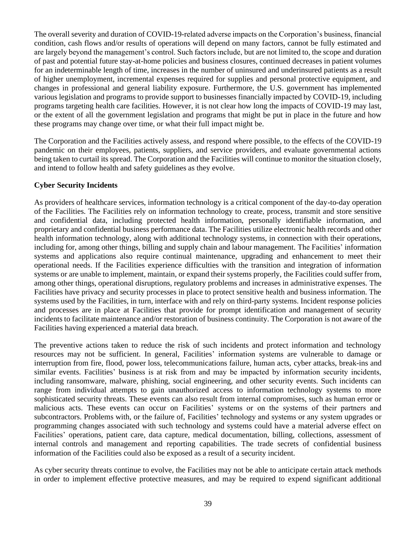The overall severity and duration of COVID-19-related adverse impacts on the Corporation's business, financial condition, cash flows and/or results of operations will depend on many factors, cannot be fully estimated and are largely beyond the management's control. Such factors include, but are not limited to, the scope and duration of past and potential future stay-at-home policies and business closures, continued decreases in patient volumes for an indeterminable length of time, increases in the number of uninsured and underinsured patients as a result of higher unemployment, incremental expenses required for supplies and personal protective equipment, and changes in professional and general liability exposure. Furthermore, the U.S. government has implemented various legislation and programs to provide support to businesses financially impacted by COVID-19, including programs targeting health care facilities. However, it is not clear how long the impacts of COVID-19 may last, or the extent of all the government legislation and programs that might be put in place in the future and how these programs may change over time, or what their full impact might be.

The Corporation and the Facilities actively assess, and respond where possible, to the effects of the COVID-19 pandemic on their employees, patients, suppliers, and service providers, and evaluate governmental actions being taken to curtail its spread. The Corporation and the Facilities will continue to monitor the situation closely, and intend to follow health and safety guidelines as they evolve.

## **Cyber Security Incidents**

As providers of healthcare services, information technology is a critical component of the day-to-day operation of the Facilities. The Facilities rely on information technology to create, process, transmit and store sensitive and confidential data, including protected health information, personally identifiable information, and proprietary and confidential business performance data. The Facilities utilize electronic health records and other health information technology, along with additional technology systems, in connection with their operations, including for, among other things, billing and supply chain and labour management. The Facilities' information systems and applications also require continual maintenance, upgrading and enhancement to meet their operational needs. If the Facilities experience difficulties with the transition and integration of information systems or are unable to implement, maintain, or expand their systems properly, the Facilities could suffer from, among other things, operational disruptions, regulatory problems and increases in administrative expenses. The Facilities have privacy and security processes in place to protect sensitive health and business information. The systems used by the Facilities, in turn, interface with and rely on third-party systems. Incident response policies and processes are in place at Facilities that provide for prompt identification and management of security incidents to facilitate maintenance and/or restoration of business continuity. The Corporation is not aware of the Facilities having experienced a material data breach.

The preventive actions taken to reduce the risk of such incidents and protect information and technology resources may not be sufficient. In general, Facilities' information systems are vulnerable to damage or interruption from fire, flood, power loss, telecommunications failure, human acts, cyber attacks, break-ins and similar events. Facilities' business is at risk from and may be impacted by information security incidents, including ransomware, malware, phishing, social engineering, and other security events. Such incidents can range from individual attempts to gain unauthorized access to information technology systems to more sophisticated security threats. These events can also result from internal compromises, such as human error or malicious acts. These events can occur on Facilities' systems or on the systems of their partners and subcontractors. Problems with, or the failure of, Facilities' technology and systems or any system upgrades or programming changes associated with such technology and systems could have a material adverse effect on Facilities' operations, patient care, data capture, medical documentation, billing, collections, assessment of internal controls and management and reporting capabilities. The trade secrets of confidential business information of the Facilities could also be exposed as a result of a security incident.

As cyber security threats continue to evolve, the Facilities may not be able to anticipate certain attack methods in order to implement effective protective measures, and may be required to expend significant additional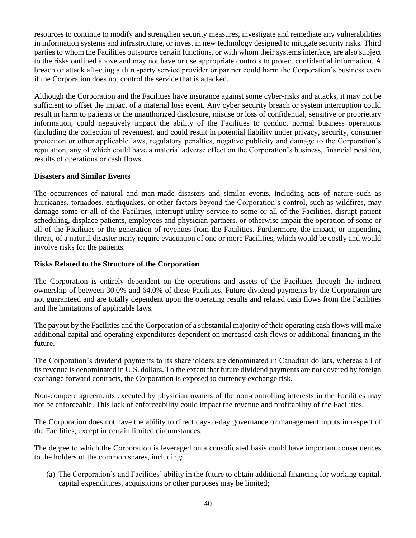resources to continue to modify and strengthen security measures, investigate and remediate any vulnerabilities in information systems and infrastructure, or invest in new technology designed to mitigate security risks. Third parties to whom the Facilities outsource certain functions, or with whom their systems interface, are also subject to the risks outlined above and may not have or use appropriate controls to protect confidential information. A breach or attack affecting a third-party service provider or partner could harm the Corporation's business even if the Corporation does not control the service that is attacked.

Although the Corporation and the Facilities have insurance against some cyber-risks and attacks, it may not be sufficient to offset the impact of a material loss event. Any cyber security breach or system interruption could result in harm to patients or the unauthorized disclosure, misuse or loss of confidential, sensitive or proprietary information, could negatively impact the ability of the Facilities to conduct normal business operations (including the collection of revenues), and could result in potential liability under privacy, security, consumer protection or other applicable laws, regulatory penalties, negative publicity and damage to the Corporation's reputation, any of which could have a material adverse effect on the Corporation's business, financial position, results of operations or cash flows.

## **Disasters and Similar Events**

The occurrences of natural and man-made disasters and similar events, including acts of nature such as hurricanes, tornadoes, earthquakes, or other factors beyond the Corporation's control, such as wildfires, may damage some or all of the Facilities, interrupt utility service to some or all of the Facilities, disrupt patient scheduling, displace patients, employees and physician partners, or otherwise impair the operation of some or all of the Facilities or the generation of revenues from the Facilities. Furthermore, the impact, or impending threat, of a natural disaster many require evacuation of one or more Facilities, which would be costly and would involve risks for the patients.

#### **Risks Related to the Structure of the Corporation**

The Corporation is entirely dependent on the operations and assets of the Facilities through the indirect ownership of between 30.0% and 64.0% of these Facilities. Future dividend payments by the Corporation are not guaranteed and are totally dependent upon the operating results and related cash flows from the Facilities and the limitations of applicable laws.

The payout by the Facilities and the Corporation of a substantial majority of their operating cash flows will make additional capital and operating expenditures dependent on increased cash flows or additional financing in the future.

The Corporation's dividend payments to its shareholders are denominated in Canadian dollars, whereas all of its revenue is denominated in U.S. dollars. To the extent that future dividend payments are not covered by foreign exchange forward contracts, the Corporation is exposed to currency exchange risk.

Non-compete agreements executed by physician owners of the non-controlling interests in the Facilities may not be enforceable. This lack of enforceability could impact the revenue and profitability of the Facilities.

The Corporation does not have the ability to direct day-to-day governance or management inputs in respect of the Facilities, except in certain limited circumstances.

The degree to which the Corporation is leveraged on a consolidated basis could have important consequences to the holders of the common shares, including:

(a) The Corporation's and Facilities' ability in the future to obtain additional financing for working capital, capital expenditures, acquisitions or other purposes may be limited;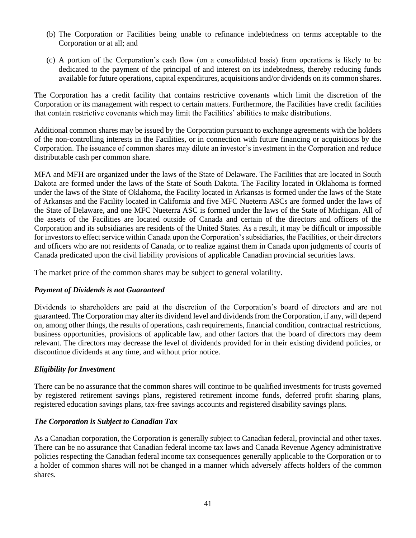- (b) The Corporation or Facilities being unable to refinance indebtedness on terms acceptable to the Corporation or at all; and
- (c) A portion of the Corporation's cash flow (on a consolidated basis) from operations is likely to be dedicated to the payment of the principal of and interest on its indebtedness, thereby reducing funds available for future operations, capital expenditures, acquisitions and/or dividends on its common shares.

The Corporation has a credit facility that contains restrictive covenants which limit the discretion of the Corporation or its management with respect to certain matters. Furthermore, the Facilities have credit facilities that contain restrictive covenants which may limit the Facilities' abilities to make distributions.

Additional common shares may be issued by the Corporation pursuant to exchange agreements with the holders of the non-controlling interests in the Facilities, or in connection with future financing or acquisitions by the Corporation. The issuance of common shares may dilute an investor's investment in the Corporation and reduce distributable cash per common share.

MFA and MFH are organized under the laws of the State of Delaware. The Facilities that are located in South Dakota are formed under the laws of the State of South Dakota. The Facility located in Oklahoma is formed under the laws of the State of Oklahoma, the Facility located in Arkansas is formed under the laws of the State of Arkansas and the Facility located in California and five MFC Nueterra ASCs are formed under the laws of the State of Delaware, and one MFC Nueterra ASC is formed under the laws of the State of Michigan. All of the assets of the Facilities are located outside of Canada and certain of the directors and officers of the Corporation and its subsidiaries are residents of the United States. As a result, it may be difficult or impossible for investors to effect service within Canada upon the Corporation's subsidiaries, the Facilities, or their directors and officers who are not residents of Canada, or to realize against them in Canada upon judgments of courts of Canada predicated upon the civil liability provisions of applicable Canadian provincial securities laws.

The market price of the common shares may be subject to general volatility.

## *Payment of Dividends is not Guaranteed*

Dividends to shareholders are paid at the discretion of the Corporation's board of directors and are not guaranteed. The Corporation may alter its dividend level and dividends from the Corporation, if any, will depend on, among other things, the results of operations, cash requirements, financial condition, contractual restrictions, business opportunities, provisions of applicable law, and other factors that the board of directors may deem relevant. The directors may decrease the level of dividends provided for in their existing dividend policies, or discontinue dividends at any time, and without prior notice.

## *Eligibility for Investment*

There can be no assurance that the common shares will continue to be qualified investments for trusts governed by registered retirement savings plans, registered retirement income funds, deferred profit sharing plans, registered education savings plans, tax-free savings accounts and registered disability savings plans.

## *The Corporation is Subject to Canadian Tax*

As a Canadian corporation, the Corporation is generally subject to Canadian federal, provincial and other taxes. There can be no assurance that Canadian federal income tax laws and Canada Revenue Agency administrative policies respecting the Canadian federal income tax consequences generally applicable to the Corporation or to a holder of common shares will not be changed in a manner which adversely affects holders of the common shares.